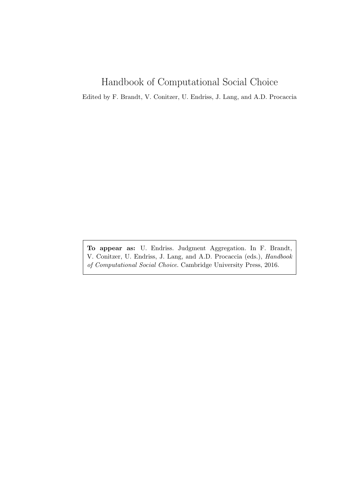# Handbook of Computational Social Choice

Edited by F. Brandt, V. Conitzer, U. Endriss, J. Lang, and A.D. Procaccia

To appear as: U. Endriss. Judgment Aggregation. In F. Brandt, V. Conitzer, U. Endriss, J. Lang, and A.D. Procaccia (eds.), Handbook of Computational Social Choice. Cambridge University Press, 2016.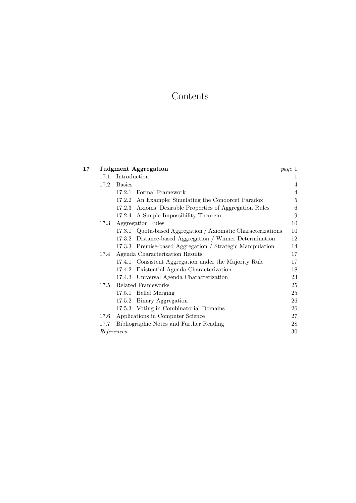# Contents

| 17 |      | Judgment Aggregation                                         | page 1 |
|----|------|--------------------------------------------------------------|--------|
|    | 17.1 | Introduction                                                 | 1      |
|    | 17.2 | <b>Basics</b>                                                | 4      |
|    |      | Formal Framework<br>17.2.1                                   | 4      |
|    |      | 17.2.2<br>An Example: Simulating the Condorcet Paradox       | 5      |
|    |      | Axioms: Desirable Properties of Aggregation Rules<br>17.2.3  | 6      |
|    |      | 17.2.4 A Simple Impossibility Theorem                        | 9      |
|    | 17.3 | <b>Aggregation Rules</b>                                     | 10     |
|    |      | 17.3.1 Quota-based Aggregation / Axiomatic Characterizations | 10     |
|    |      | Distance-based Aggregation / Winner Determination<br>17.3.2  | 12     |
|    |      | 17.3.3 Premise-based Aggregation / Strategic Manipulation    | 14     |
|    | 17.4 | Agenda Characterization Results                              | 17     |
|    |      | Consistent Aggregation under the Majority Rule<br>17.4.1     | 17     |
|    |      | Existential Agenda Characterization<br>17.4.2                | 18     |
|    |      | 17.4.3 Universal Agenda Characterization                     | 23     |
|    | 17.5 | Related Frameworks                                           | 25     |
|    |      | 17.5.1 Belief Merging                                        | 25     |
|    |      | 17.5.2 Binary Aggregation                                    | 26     |
|    |      | 17.5.3 Voting in Combinatorial Domains                       | 26     |
|    | 17.6 | Applications in Computer Science                             | 27     |
|    | 17.7 | Bibliographic Notes and Further Reading                      | 28     |
|    |      | References                                                   | 30     |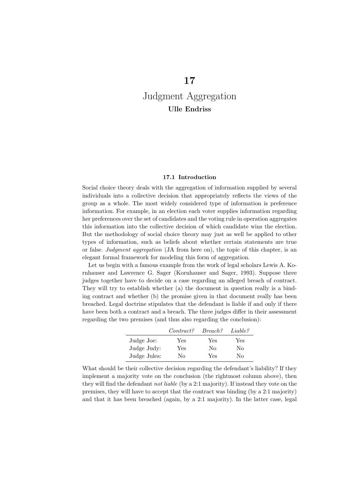# 17 Judgment Aggregation Ulle Endriss

#### 17.1 Introduction

Social choice theory deals with the aggregation of information supplied by several individuals into a collective decision that appropriately reflects the views of the group as a whole. The most widely considered type of information is preference information. For example, in an election each voter supplies information regarding her preferences over the set of candidates and the voting rule in operation aggregates this information into the collective decision of which candidate wins the election. But the methodology of social choice theory may just as well be applied to other types of information, such as beliefs about whether certain statements are true or false. Judgment aggregation (JA from here on), the topic of this chapter, is an elegant formal framework for modeling this form of aggregation.

Let us begin with a famous example from the work of legal scholars Lewis A. Kornhauser and Lawrence G. Sager (Kornhauser and Sager, 1993). Suppose three judges together have to decide on a case regarding an alleged breach of contract. They will try to establish whether (a) the document in question really is a binding contract and whether (b) the promise given in that document really has been breached. Legal doctrine stipulates that the defendant is liable if and only if there have been both a contract and a breach. The three judges differ in their assessment regarding the two premises (and thus also regarding the conclusion):

|              | Contract? | Breach? | Liable?    |
|--------------|-----------|---------|------------|
| Judge Joe:   | Yes       | Yes     | <b>Yes</b> |
| Judge Judy:  | Yes       | No      | No         |
| Judge Jules: | No        | Yes     | Nο         |

What should be their collective decision regarding the defendant's liability? If they implement a majority vote on the conclusion (the rightmost column above), then they will find the defendant not liable (by a 2:1 majority). If instead they vote on the premises, they will have to accept that the contract was binding (by a 2:1 majority) and that it has been breached (again, by a 2:1 majority). In the latter case, legal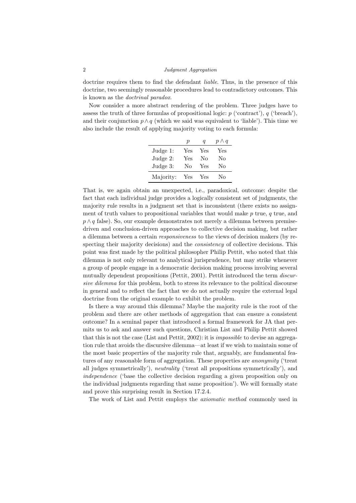doctrine requires them to find the defendant liable. Thus, in the presence of this doctrine, two seemingly reasonable procedures lead to contradictory outcomes. This is known as the doctrinal paradox.

Now consider a more abstract rendering of the problem. Three judges have to assess the truth of three formulas of propositional logic:  $p$  ('contract'),  $q$  ('breach'), and their conjunction  $p \wedge q$  (which we said was equivalent to 'liable'). This time we also include the result of applying majority voting to each formula:

|           | 'V  |     | $p \wedge q$ |
|-----------|-----|-----|--------------|
| Judge 1:  | Yes | Yes | Yes          |
| Judge 2:  | Yes | No  | No           |
| Judge 3:  | No  | Yes | Nο           |
| Majority: | Yes | Yes | Nο           |

That is, we again obtain an unexpected, i.e., paradoxical, outcome: despite the fact that each individual judge provides a logically consistent set of judgments, the majority rule results in a judgment set that is inconsistent (there exists no assignment of truth values to propositional variables that would make  $p$  true,  $q$  true, and  $p \wedge q$  false). So, our example demonstrates not merely a dilemma between premisedriven and conclusion-driven approaches to collective decision making, but rather a dilemma between a certain responsiveness to the views of decision makers (by respecting their majority decisions) and the *consistency* of collective decisions. This point was first made by the political philosopher Philip Pettit, who noted that this dilemma is not only relevant to analytical jurisprudence, but may strike whenever a group of people engage in a democratic decision making process involving several mutually dependent propositions (Pettit, 2001). Pettit introduced the term discursive dilemma for this problem, both to stress its relevance to the political discourse in general and to reflect the fact that we do not actually require the external legal doctrine from the original example to exhibit the problem.

Is there a way around this dilemma? Maybe the majority rule is the root of the problem and there are other methods of aggregation that can ensure a consistent outcome? In a seminal paper that introduced a formal framework for JA that permits us to ask and answer such questions, Christian List and Philip Pettit showed that this is not the case (List and Pettit, 2002): it is impossible to devise an aggregation rule that avoids the discursive dilemma—at least if we wish to maintain some of the most basic properties of the majority rule that, arguably, are fundamental features of any reasonable form of aggregation. These properties are *anonymity* ('treat all judges symmetrically'), neutrality ('treat all propositions symmetrically'), and independence ('base the collective decision regarding a given proposition only on the individual judgments regarding that same proposition'). We will formally state and prove this surprising result in Section 17.2.4.

The work of List and Pettit employs the axiomatic method commonly used in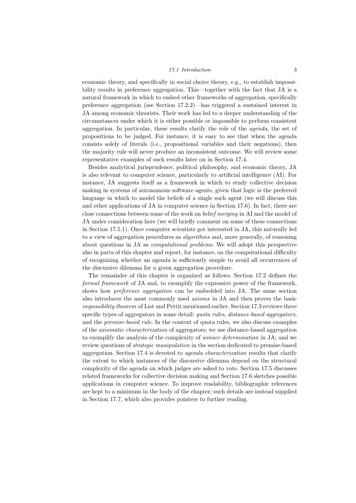#### 17.1 Introduction 3

economic theory, and specifically in social choice theory, e.g., to establish impossibility results in preference aggregation. This—together with the fact that JA is a natural framework in which to embed other frameworks of aggregation, specifically preference aggregation (see Section 17.2.2)—has triggered a sustained interest in JA among economic theorists. Their work has led to a deeper understanding of the circumstances under which it is either possible or impossible to perform consistent aggregation. In particular, these results clarify the role of the agenda, the set of propositions to be judged. For instance, it is easy to see that when the agenda consists solely of literals (i.e., propositional variables and their negations), then the majority rule will never produce an inconsistent outcome. We will review some representative examples of such results later on in Section 17.4.

Besides analytical jurisprudence, political philosophy, and economic theory, JA is also relevant to computer science, particularly to artificial intelligence (AI). For instance, JA suggests itself as a framework in which to study collective decision making in systems of autonomous software agents, given that logic is the preferred language in which to model the beliefs of a single such agent (we will discuss this and other applications of JA in computer science in Section 17.6). In fact, there are close connections between some of the work on belief merging in AI and the model of JA under consideration here (we will briefly comment on some of these connections in Section 17.5.1). Once computer scientists got interested in JA, this naturally led to a view of aggregation procedures as algorithms and, more generally, of reasoning about questions in JA as computational problems. We will adopt this perspective also in parts of this chapter and report, for instance, on the computational difficulty of recognizing whether an agenda is sufficiently simple to avoid all occurrences of the discursive dilemma for a given aggregation procedure.

The remainder of this chapter is organized as follows. Section 17.2 defines the formal framework of JA and, to exemplify the expressive power of the framework, shows how preference aggregation can be embedded into JA. The same section also introduces the most commonly used axioms in JA and then proves the basic impossibility theorem of List and Pettit mentioned earlier. Section 17.3 reviews three specific types of aggregators in some detail: quota rules, distance-based aggregators, and the premise-based rule. In the context of quota rules, we also discuss examples of the axiomatic characterization of aggregators; we use distance-based aggregation to exemplify the analysis of the complexity of winner determination in JA; and we review questions of strategic manipulation in the section dedicated to premise-based aggregation. Section 17.4 is devoted to agenda characterization results that clarify the extent to which instances of the discursive dilemma depend on the structural complexity of the agenda on which judges are asked to vote. Section 17.5 discusses related frameworks for collective decision making and Section 17.6 sketches possible applications in computer science. To improve readability, bibliographic references are kept to a minimum in the body of the chapter; such details are instead supplied in Section 17.7, which also provides pointers to further reading.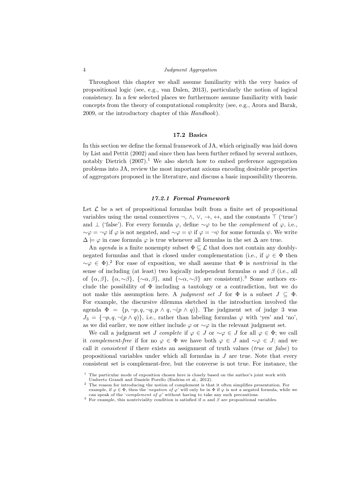Throughout this chapter we shall assume familiarity with the very basics of propositional logic (see, e.g., van Dalen, 2013), particularly the notion of logical consistency. In a few selected places we furthermore assume familiarity with basic concepts from the theory of computational complexity (see, e.g., Arora and Barak, 2009, or the introductory chapter of this Handbook).

#### 17.2 Basics

In this section we define the formal framework of JA, which originally was laid down by List and Pettit (2002) and since then has been further refined by several authors, notably Dietrich  $(2007)^{1}$ . We also sketch how to embed preference aggregation problems into JA, review the most important axioms encoding desirable properties of aggregators proposed in the literature, and discuss a basic impossibility theorem.

### 17.2.1 Formal Framework

Let  $\mathcal L$  be a set of propositional formulas built from a finite set of propositional variables using the usual connectives  $\neg$ ,  $\wedge$ ,  $\vee$ ,  $\rightarrow$ ,  $\leftrightarrow$ , and the constants  $\top$  ('true') and  $\perp$  ('false'). For every formula  $\varphi$ , define  $\sim \varphi$  to be the *complement* of  $\varphi$ , i.e.,  $\sim \varphi = \neg \varphi$  if  $\varphi$  is not negated, and  $\sim \varphi = \psi$  if  $\varphi = \neg \psi$  for some formula  $\psi$ . We write  $\Delta \models \varphi$  in case formula  $\varphi$  is true whenever all formulas in the set  $\Delta$  are true.

An agenda is a finite nonempty subset  $\Phi \subseteq \mathcal{L}$  that does not contain any doublynegated formulas and that is closed under complementation (i.e., if  $\varphi \in \Phi$  then  $\sim \varphi \in \Phi$ ).<sup>2</sup> For ease of exposition, we shall assume that  $\Phi$  is *nontrivial* in the sense of including (at least) two logically independent formulas  $\alpha$  and  $\beta$  (i.e., all of  $\{\alpha,\beta\},\{\alpha,\sim\beta\},\{\sim\alpha,\beta\},\}$  and  $\{\sim\alpha,\sim\beta\}$  are consistent).<sup>3</sup> Some authors exclude the possibility of  $\Phi$  including a tautology or a contradiction, but we do not make this assumption here. A judgment set J for  $\Phi$  is a subset  $J \subseteq \Phi$ . For example, the discursive dilemma sketched in the introduction involved the agenda  $\Phi = \{p, \neg p, q, \neg q, p \wedge q, \neg (p \wedge q)\}\.$  The judgment set of judge 3 was  $J_3 = {\neg p, q, \neg (p \wedge q)}$ , i.e., rather than labeling formulas  $\varphi$  with 'yes' and 'no', as we did earlier, we now either include  $\varphi$  or  $\sim \varphi$  in the relevant judgment set.

We call a judgment set *J complete* if  $\varphi \in J$  or  $\sim \varphi \in J$  for all  $\varphi \in \Phi$ ; we call it complement-free if for no  $\varphi \in \Phi$  we have both  $\varphi \in J$  and  $\sim \varphi \in J$ ; and we call it *consistent* if there exists an assignment of truth values (*true* or  $false$ ) to propositional variables under which all formulas in  $J$  are true. Note that every consistent set is complement-free, but the converse is not true. For instance, the

<sup>1</sup> The particular mode of exposition chosen here is closely based on the author's joint work with

Umberto Grandi and Daniele Porello (Endriss et al., 2012).

<sup>&</sup>lt;sup>2</sup> The reason for introducing the notion of complement is that it often simplifies presentation. For example, if  $\varphi \in \Phi$ , then the '*negation of*  $\varphi$ ' will only be in  $\Phi$  if  $\varphi$  is not a negated formula, while we can speak of the '*complement of*  $\varphi$ ' without having to take any such precautions.

<sup>&</sup>lt;sup>3</sup> For example, this nontriviality condition is satisfied if  $\alpha$  and  $\beta$  are propositional variables.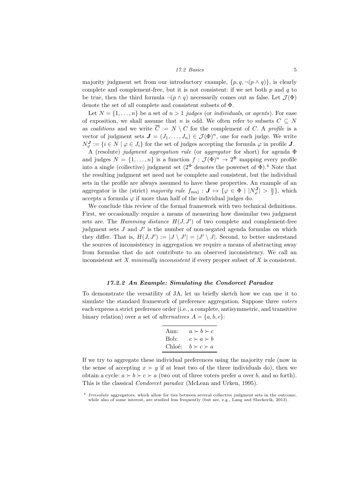$17.2$  Basics  $5$ 

majority judgment set from our introductory example,  $\{p, q, \neg(p \land q)\}\$ , is clearly complete and complement-free, but it is not consistent: if we set both  $p$  and  $q$  to be true, then the third formula  $\neg(p \land q)$  necessarily comes out as false. Let  $\mathcal{J}(\Phi)$ denote the set of all complete and consistent subsets of Φ.

Let  $N = \{1, \ldots, n\}$  be a set of  $n > 1$  judges (or individuals, or agents). For ease of exposition, we shall assume that n is odd. We often refer to subsets  $C \subseteq N$ as coalitions and we write  $\overline{C} := N \setminus C$  for the complement of C. A profile is a vector of judgment sets  $J = (J_1, \ldots, J_n) \in \mathcal{J}(\Phi)^n$ , one for each judge. We write  $N_{\varphi}^{J} := \{i \in N \mid \varphi \in J_i\}$  for the set of judges accepting the formula  $\varphi$  in profile  $J$ .

A (resolute) judgment aggregation rule (or aggregator for short) for agenda Φ and judges  $N = \{1, \ldots, n\}$  is a function  $f : \mathcal{J}(\Phi)^n \to 2^{\Phi}$  mapping every profile into a single (collective) judgment set  $(2^{\Phi}$  denotes the powerset of  $\Phi$ ).<sup>4</sup> Note that the resulting judgment set need not be complete and consistent, but the individual sets in the profile are always assumed to have these properties. An example of an aggregator is the (strict) majority rule  $f_{\text{maj}} : J \mapsto {\varphi \in \Phi \mid |N^J_{\varphi}| > \frac{n}{2}},$  which accepts a formula  $\varphi$  if more than half of the individual judges do.

We conclude this review of the formal framework with two technical definitions. First, we occasionally require a means of measuring how dissimilar two judgment sets are. The *Hamming distance*  $H(J, J')$  of two complete and complement-free judgment sets  $J$  and  $J'$  is the number of non-negated agenda formulas on which they differ. That is,  $H(J, J') := |J \setminus J'| = |J' \setminus J|$ . Second, to better understand the sources of inconsistency in aggregation we require a means of abstracting away from formulas that do not contribute to an observed inconsistency. We call an inconsistent set  $X$  minimally inconsistent if every proper subset of  $X$  is consistent.

#### 17.2.2 An Example: Simulating the Condorcet Paradox

To demonstrate the versatility of JA, let us briefly sketch how we can use it to simulate the standard framework of preference aggregation. Suppose three voters each express a strict preference order (i.e., a complete, antisymmetric, and transitive binary relation) over a set of *alternatives*  $A = \{a, b, c\}$ :

| Ann:   | $a \succ b \succ c$ |
|--------|---------------------|
| Bob:   | $c \succ a \succ b$ |
| Chloé: | $b \succ c \succ a$ |

If we try to aggregate these individual preferences using the majority rule (now in the sense of accepting  $x \succ y$  if at least two of the three individuals do), then we obtain a cycle:  $a \succ b \succ c \succ a$  (two out of three voters prefer a over b, and so forth). This is the classical Condorcet paradox (McLean and Urken, 1995).

<sup>&</sup>lt;sup>4</sup> Irresolute aggregators, which allow for ties between several collective judgment sets in the outcome, while also of some interest, are studied less frequently (but see, e.g., Lang and Slavkovik, 2013).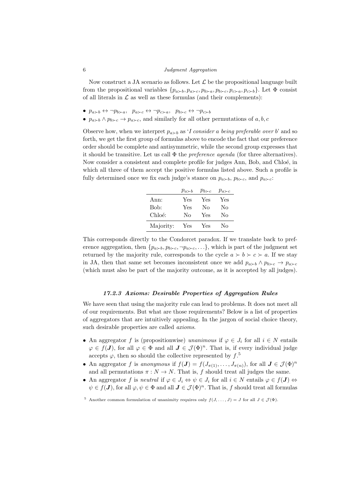Now construct a JA scenario as follows. Let  $\mathcal L$  be the propositional language built from the propositional variables  $\{p_{a\succ b}, p_{a\succ c}, p_{b\succ a}, p_{b\succ c}, p_{c\succ a}, p_{c\succ b}\}\.$  Let  $\Phi$  consist of all literals in  $\mathcal L$  as well as these formulas (and their complements):

- $p_{a \succ b} \leftrightarrow \neg p_{b \succ a}, \quad p_{a \succ c} \leftrightarrow \neg p_{c \succ a}, \quad p_{b \succ c} \leftrightarrow \neg p_{c \succ b}$
- $p_{a \succ b} \land p_{b \succ c} \rightarrow p_{a \succ c}$ , and similarly for all other permutations of  $a, b, c$

Observe how, when we interpret  $p_{a \succ b}$  as 'I consider a being preferable over b' and so forth, we get the first group of formulas above to encode the fact that our preference order should be complete and antisymmetric, while the second group expresses that it should be transitive. Let us call  $\Phi$  the *preference agenda* (for three alternatives). Now consider a consistent and complete profile for judges Ann, Bob, and Chlo´e, in which all three of them accept the positive formulas listed above. Such a profile is fully determined once we fix each judge's stance on  $p_{a\succ b}$ ,  $p_{b\succ c}$ , and  $p_{a\succ c}$ :

|           | $p_{a \succ b}$ | $p_{b \succ c}$ | $p_{a \succ c}$ |
|-----------|-----------------|-----------------|-----------------|
| Ann:      | Yes             | Yes             | Yes             |
| Bob:      | Yes             | No              | Nο              |
| Chloé:    | Nο              | Yes             | Nο              |
| Majority: | Yes             | Yes             | No              |

This corresponds directly to the Condorcet paradox. If we translate back to preference aggregation, then  $\{p_{a\succ b}, p_{b\succ c}, \neg p_{a\succ c}, \ldots\}$ , which is part of the judgment set returned by the majority rule, corresponds to the cycle  $a \succ b \succ c \succ a$ . If we stay in JA, then that same set becomes inconsistent once we add  $p_{a \succ b} \wedge p_{b \succ c} \rightarrow p_{a \succ c}$ (which must also be part of the majority outcome, as it is accepted by all judges).

#### 17.2.3 Axioms: Desirable Properties of Aggregation Rules

We have seen that using the majority rule can lead to problems. It does not meet all of our requirements. But what are those requirements? Below is a list of properties of aggregators that are intuitively appealing. In the jargon of social choice theory, such desirable properties are called axioms.

- An aggregator f is (propositionwise) unanimous if  $\varphi \in J_i$  for all  $i \in N$  entails  $\varphi \in f(\mathbf{J})$ , for all  $\varphi \in \Phi$  and all  $\mathbf{J} \in \mathcal{J}(\Phi)^n$ . That is, if every individual judge accepts  $\varphi$ , then so should the collective represented by  $f^{\,5}$
- An aggregator f is anonymous if  $f(\mathbf{J}) = f(J_{\pi(1)}, \ldots, J_{\pi(n)})$ , for all  $\mathbf{J} \in \mathcal{J}(\Phi)^n$ and all permutations  $\pi : N \to N$ . That is, f should treat all judges the same.
- An aggregator f is neutral if  $\varphi \in J_i \Leftrightarrow \psi \in J_i$  for all  $i \in N$  entails  $\varphi \in f(\mathbf{J}) \Leftrightarrow$  $\psi \in f(\mathbf{J})$ , for all  $\varphi, \psi \in \Phi$  and all  $\mathbf{J} \in \mathcal{J}(\Phi)^n$ . That is, f should treat all formulas

<sup>&</sup>lt;sup>5</sup> Another common formulation of unanimity requires only  $f(J, \ldots, J) = J$  for all  $J \in \mathcal{J}(\Phi)$ .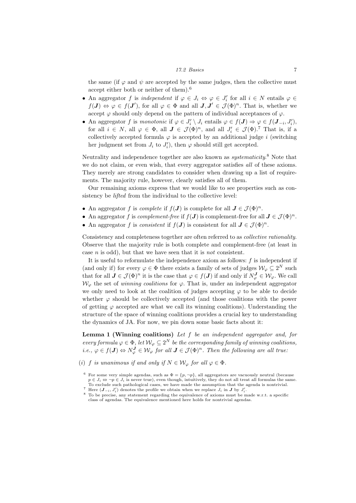# $17.2$  Basics  $7$

the same (if  $\varphi$  and  $\psi$  are accepted by the same judges, then the collective must accept either both or neither of them).<sup>6</sup>

- An aggregator f is independent if  $\varphi \in J_i \Leftrightarrow \varphi \in J_i'$  for all  $i \in N$  entails  $\varphi \in$  $f(\mathbf{J}) \Leftrightarrow \varphi \in f(\mathbf{J}')$ , for all  $\varphi \in \Phi$  and all  $\mathbf{J}, \mathbf{J}' \in \mathcal{J}(\Phi)^n$ . That is, whether we accept  $\varphi$  should only depend on the pattern of individual acceptances of  $\varphi$ .
- An aggregator f is monotonic if  $\varphi \in J'_i \setminus J_i$  entails  $\varphi \in f(\mathbf{J}) \Rightarrow \varphi \in f(\mathbf{J}_{-i}, J'_i)$ , for all  $i \in N$ , all  $\varphi \in \Phi$ , all  $J \in \mathcal{J}(\Phi)^n$ , and all  $J_i' \in \mathcal{J}(\Phi)$ .<sup>7</sup> That is, if a collectively accepted formula  $\varphi$  is accepted by an additional judge i (switching her judgment set from  $J_i$  to  $J'_i$ , then  $\varphi$  should still get accepted.

Neutrality and independence together are also known as *systematicity*.<sup>8</sup> Note that we do not claim, or even wish, that every aggregator satisfies all of these axioms. They merely are strong candidates to consider when drawing up a list of requirements. The majority rule, however, clearly satisfies all of them.

Our remaining axioms express that we would like to see properties such as consistency be lifted from the individual to the collective level:

- An aggregator f is *complete* if  $f(\mathbf{J})$  is complete for all  $\mathbf{J} \in \mathcal{J}(\Phi)^n$ .
- An aggregator f is complement-free if  $f(\mathbf{J})$  is complement-free for all  $\mathbf{J} \in \mathcal{J}(\Phi)^n$ .
- An aggregator f is consistent if  $f(\mathbf{J})$  is consistent for all  $\mathbf{J} \in \mathcal{J}(\Phi)^n$ .

Consistency and completeness together are often referred to as collective rationality. Observe that the majority rule is both complete and complement-free (at least in case n is odd), but that we have seen that it is not consistent.

It is useful to reformulate the independence axiom as follows: f is independent if (and only if) for every  $\varphi \in \Phi$  there exists a family of sets of judges  $\mathcal{W}_{\varphi} \subseteq 2^N$  such that for all  $J \in \mathcal{J}(\Phi)^n$  it is the case that  $\varphi \in f(\mathbf{J})$  if and only if  $N_{\varphi}^{\mathbf{J}} \in \mathcal{W}_{\varphi}$ . We call  $W_{\varphi}$  the set of *winning coalitions* for  $\varphi$ . That is, under an independent aggregator we only need to look at the coalition of judges accepting  $\varphi$  to be able to decide whether  $\varphi$  should be collectively accepted (and those coalitions with the power of getting  $\varphi$  accepted are what we call its winning coalitions). Understanding the structure of the space of winning coalitions provides a crucial key to understanding the dynamics of JA. For now, we pin down some basic facts about it:

**Lemma 1 (Winning coalitions)** Let  $f$  be an independent aggregator and, for every formula  $\varphi \in \Phi$ , let  $\mathcal{W}_{\varphi} \subseteq 2^N$  be the corresponding family of winning coalitions, *i.e.*,  $\varphi \in f(\mathbf{J}) \Leftrightarrow N_{\varphi}^{\mathbf{J}} \in \mathcal{W}_{\varphi}$  for all  $\mathbf{J} \in \mathcal{J}(\Phi)^n$ . Then the following are all true.

(i) f is unanimous if and only if  $N \in \mathcal{W}_{\varphi}$  for all  $\varphi \in \Phi$ .

For some very simple agendas, such as  $\Phi = \{p, \neg p\}$ , all aggregators are vacuously neutral (because  $p \in J_i \Leftrightarrow \neg p \in J_i$  is never true), even though, intuitively, they do not all treat all formulas the same. To exclude such pathological cases, we have made the assumption that the agenda is nontrivial.

<sup>&</sup>lt;sup>7</sup> Here  $(\mathbf{J}_{-i}, J_i')$  denotes the profile we obtain when we replace  $J_i$  in  $\mathbf{J}$  by  $J_i'$ .

To be precise, any statement regarding the equivalence of axioms must be made w.r.t. a specific class of agendas. The equivalence mentioned here holds for nontrivial agendas.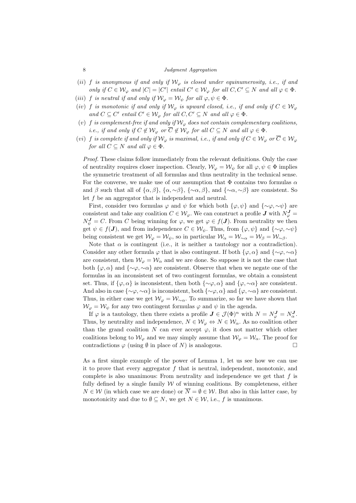- (ii) f is anonymous if and only if  $W_{\varphi}$  is closed under equinumerosity, i.e., if and only if  $C \in \mathcal{W}_{\varphi}$  and  $|C| = |C'|$  entail  $C' \in \mathcal{W}_{\varphi}$  for all  $C, C' \subseteq N$  and all  $\varphi \in \Phi$ .
- (iii) f is neutral if and only if  $W_{\varphi} = W_{\psi}$  for all  $\varphi, \psi \in \Phi$ .
- (iv) f is monotonic if and only if  $W_{\varphi}$  is upward closed, i.e., if and only if  $C \in W_{\varphi}$ and  $C \subseteq C'$  entail  $C' \in \mathcal{W}_{\varphi}$  for all  $C, C' \subseteq N$  and all  $\varphi \in \Phi$ .
- (v) f is complement-free if and only if  $W_\varphi$  does not contain complementary coalitions, *i.e., if and only if*  $C \notin W_{\varphi}$  or  $\overline{C} \notin W_{\varphi}$  for all  $C \subseteq N$  and all  $\varphi \in \Phi$ .
- (vi) f is complete if and only if  $W_{\varphi}$  is maximal, i.e., if and only if  $C \in W_{\varphi}$  or  $\overline{C} \in W_{\varphi}$ for all  $C \subseteq N$  and all  $\varphi \in \Phi$ .

Proof. These claims follow immediately from the relevant definitions. Only the case of neutrality requires closer inspection. Clearly,  $\mathcal{W}_{\varphi} = \mathcal{W}_{\psi}$  for all  $\varphi, \psi \in \Phi$  implies the symmetric treatment of all formulas and thus neutrality in the technical sense. For the converse, we make use of our assumption that  $\Phi$  contains two formulas  $\alpha$ and  $\beta$  such that all of  $\{\alpha, \beta\}, \{\alpha, \sim\beta\}, \{\sim\alpha, \beta\},\$ and  $\{\sim\alpha, \sim\beta\}$  are consistent. So let f be an aggregator that is independent and neutral.

First, consider two formulas  $\varphi$  and  $\psi$  for which both  $\{\varphi, \psi\}$  and  $\{\sim \varphi, \sim \psi\}$  are consistent and take any coalition  $C \in W_{\varphi}$ . We can construct a profile  $J$  with  $N_{\varphi}^{J} =$  $N_{\psi}^{J} = C$ . From C being winning for  $\varphi$ , we get  $\varphi \in f(J)$ . From neutrality we then get  $\psi \in f(\mathbf{J})$ , and from independence  $C \in \mathcal{W}_{\psi}$ . Thus, from  $\{\varphi, \psi\}$  and  $\{\sim \varphi, \sim \psi\}$ being consistent we get  $\mathcal{W}_{\varphi} = \mathcal{W}_{\psi}$ , so in particular  $\mathcal{W}_{\alpha} = \mathcal{W}_{\sim \alpha} = \mathcal{W}_{\beta} = \mathcal{W}_{\sim \beta}$ .

Note that  $\alpha$  is contingent (i.e., it is neither a tautology nor a contradiction). Consider any other formula  $\varphi$  that is also contingent. If both  $\{\varphi, \alpha\}$  and  $\{\sim \varphi, \sim \alpha\}$ are consistent, then  $W_{\varphi} = W_{\alpha}$  and we are done. So suppose it is not the case that both  $\{\varphi, \alpha\}$  and  $\{\sim \varphi, \sim \alpha\}$  are consistent. Observe that when we negate one of the formulas in an inconsistent set of two contingent formulas, we obtain a consistent set. Thus, if  $\{\varphi, \alpha\}$  is inconsistent, then both  $\{\sim \varphi, \alpha\}$  and  $\{\varphi, \sim \alpha\}$  are consistent. And also in case  $\{\sim \varphi, \sim \alpha\}$  is inconsistent, both  $\{\sim \varphi, \alpha\}$  and  $\{\varphi, \sim \alpha\}$  are consistent. Thus, in either case we get  $W_{\varphi} = W_{\neg \alpha}$ . To summarize, so far we have shown that  $W_{\varphi} = W_{\psi}$  for any two contingent formulas  $\varphi$  and  $\psi$  in the agenda.

If  $\varphi$  is a tautology, then there exists a profile  $J \in \mathcal{J}(\Phi)^n$  with  $N = N_{\varphi}^J = N_{\alpha}^J$ . Thus, by neutrality and independence,  $N \in \mathcal{W}_{\varphi} \Leftrightarrow N \in \mathcal{W}_{\alpha}$ . As no coalition other than the grand coalition N can ever accept  $\varphi$ , it does not matter which other coalitions belong to  $W_{\varphi}$  and we may simply assume that  $W_{\varphi} = W_{\alpha}$ . The proof for contradictions  $\varphi$  (using  $\emptyset$  in place of N) is analogous.

As a first simple example of the power of Lemma 1, let us see how we can use it to prove that every aggregator  $f$  that is neutral, independent, monotonic, and complete is also unanimous: From neutrality and independence we get that  $f$  is fully defined by a single family  $W$  of winning coalitions. By completeness, either  $N \in \mathcal{W}$  (in which case we are done) or  $\overline{N} = \emptyset \in \mathcal{W}$ . But also in this latter case, by monotonicity and due to  $\emptyset \subseteq N$ , we get  $N \in \mathcal{W}$ , i.e., f is unanimous.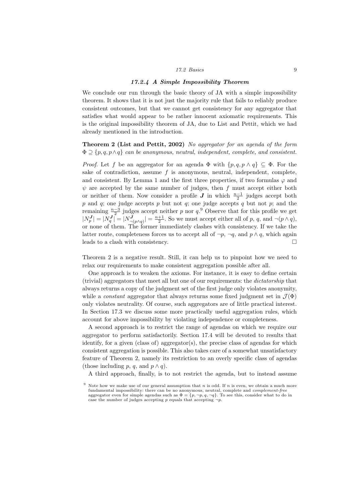#### 17.2 Basics 9

# 17.2.4 A Simple Impossibility Theorem

We conclude our run through the basic theory of JA with a simple impossibility theorem. It shows that it is not just the majority rule that fails to reliably produce consistent outcomes, but that we cannot get consistency for any aggregator that satisfies what would appear to be rather innocent axiomatic requirements. This is the original impossibility theorem of JA, due to List and Pettit, which we had already mentioned in the introduction.

Theorem 2 (List and Pettit, 2002) No aggregator for an agenda of the form  $\Phi \supseteq \{p, q, p \wedge q\}$  can be anonymous, neutral, independent, complete, and consistent.

*Proof.* Let f be an aggregator for an agenda  $\Phi$  with  $\{p,q,p\wedge q\} \subseteq \Phi$ . For the sake of contradiction, assume  $f$  is anonymous, neutral, independent, complete, and consistent. By Lemma 1 and the first three properties, if two formulas  $\varphi$  and  $\psi$  are accepted by the same number of judges, then f must accept either both or neither of them. Now consider a profile  $J$  in which  $\frac{n-1}{2}$  judges accept both  $p$  and  $q$ ; one judge accepts  $p$  but not  $q$ ; one judge accepts  $q$  but not  $p$ ; and the remaining  $\frac{n-3}{2}$  judges accept neither p nor  $q$ .<sup>9</sup> Observe that for this profile we get  $|N_p^J| = |N_q^J| = |N_{\neg(p \wedge q)}^J| = \frac{n+1}{2}$ . So we must accept either all of p, q, and  $\neg(p \wedge q)$ , or none of them. The former immediately clashes with consistency. If we take the latter route, completeness forces us to accept all of  $\neg p$ ,  $\neg q$ , and  $p \wedge q$ , which again leads to a clash with consistency.  $\Box$ 

Theorem 2 is a negative result. Still, it can help us to pinpoint how we need to relax our requirements to make consistent aggregation possible after all.

One approach is to weaken the axioms. For instance, it is easy to define certain (trivial) aggregators that meet all but one of our requirements: the dictatorship that always returns a copy of the judgment set of the first judge only violates anonymity, while a *constant* aggregator that always returns some fixed judgment set in  $\mathcal{J}(\Phi)$ only violates neutrality. Of course, such aggregators are of little practical interest. In Section 17.3 we discuss some more practically useful aggregation rules, which account for above impossibility by violating independence or completeness.

A second approach is to restrict the range of agendas on which we require our aggregator to perform satisfactorily. Section 17.4 will be devoted to results that identify, for a given (class of) aggregator(s), the precise class of agendas for which consistent aggregation is possible. This also takes care of a somewhat unsatisfactory feature of Theorem 2, namely its restriction to an overly specific class of agendas (those including p, q, and  $p \wedge q$ ).

A third approach, finally, is to not restrict the agenda, but to instead assume

<sup>&</sup>lt;sup>9</sup> Note how we make use of our general assumption that n is odd. If n is even, we obtain a much more fundamental impossibility: there can be no anonymous, neutral, complete and *complement-free* aggregator even for simple agendas such as  $\Phi = \{p, \neg p, q, \neg q\}$ . To see this, consider what to do in case the number of judges accepting  $p$  equals that accepting  $\neg p$ .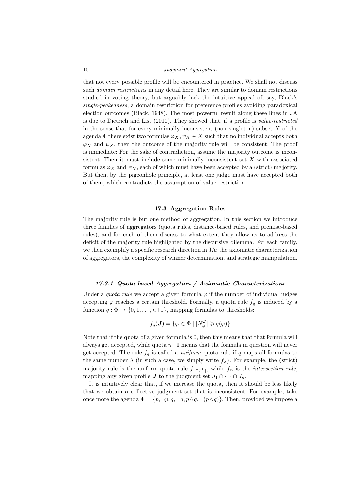that not every possible profile will be encountered in practice. We shall not discuss such domain restrictions in any detail here. They are similar to domain restrictions studied in voting theory, but arguably lack the intuitive appeal of, say, Black's single-peakedness, a domain restriction for preference profiles avoiding paradoxical election outcomes (Black, 1948). The most powerful result along these lines in JA is due to Dietrich and List (2010). They showed that, if a profile is value-restricted in the sense that for every minimally inconsistent (non-singleton) subset  $X$  of the agenda  $\Phi$  there exist two formulas  $\varphi_X, \psi_X \in X$  such that no individual accepts both  $\varphi_X$  and  $\psi_X$ , then the outcome of the majority rule will be consistent. The proof is immediate: For the sake of contradiction, assume the majority outcome is inconsistent. Then it must include some minimally inconsistent set  $X$  with associated formulas  $\varphi_X$  and  $\psi_X$ , each of which must have been accepted by a (strict) majority. But then, by the pigeonhole principle, at least one judge must have accepted both of them, which contradicts the assumption of value restriction.

# 17.3 Aggregation Rules

The majority rule is but one method of aggregation. In this section we introduce three families of aggregators (quota rules, distance-based rules, and premise-based rules), and for each of them discuss to what extent they allow us to address the deficit of the majority rule highlighted by the discursive dilemma. For each family, we then exemplify a specific research direction in JA: the axiomatic characterization of aggregators, the complexity of winner determination, and strategic manipulation.

# 17.3.1 Quota-based Aggregation / Axiomatic Characterizations

Under a *quota rule* we accept a given formula  $\varphi$  if the number of individual judges accepting  $\varphi$  reaches a certain threshold. Formally, a quota rule  $f_q$  is induced by a function  $q : \Phi \to \{0, 1, \ldots, n+1\}$ , mapping formulas to thresholds:

$$
f_q(\mathbf{J}) = \{ \varphi \in \Phi \mid |N^{\mathbf{J}}_{\varphi}| \geqslant q(\varphi) \}
$$

Note that if the quota of a given formula is 0, then this means that that formula will always get accepted, while quota  $n+1$  means that the formula in question will never get accepted. The rule  $f_q$  is called a *uniform* quota rule if q maps all formulas to the same number  $\lambda$  (in such a case, we simply write  $f_{\lambda}$ ). For example, the (strict) majority rule is the uniform quota rule  $f_{\lceil \frac{n+1}{2} \rceil}$ , while  $f_n$  is the *intersection rule*, mapping any given profile  $J$  to the judgment set  $J_1 \cap \cdots \cap J_n$ .

It is intuitively clear that, if we increase the quota, then it should be less likely that we obtain a collective judgment set that is inconsistent. For example, take once more the agenda  $\Phi = \{p, \neg p, q, \neg q, p \land q, \neg (p \land q)\}\.$  Then, provided we impose a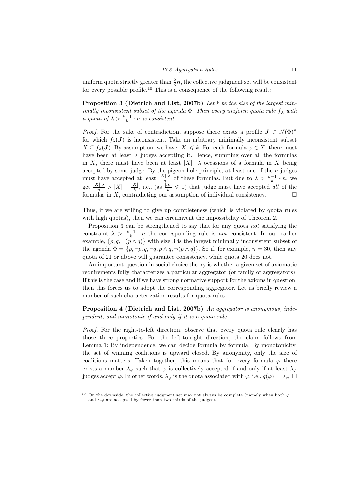uniform quota strictly greater than  $\frac{2}{3}n$ , the collective judgment set will be consistent for every possible profile.<sup>10</sup> This is a consequence of the following result:

Proposition 3 (Dietrich and List, 2007b) Let k be the size of the largest minimally inconsistent subset of the agenda  $\Phi$ . Then every uniform quota rule  $f_{\lambda}$  with a quota of  $\lambda > \frac{k-1}{k} \cdot n$  is consistent.

*Proof.* For the sake of contradiction, suppose there exists a profile  $J \in \mathcal{J}(\Phi)^n$ for which  $f_{\lambda}(\boldsymbol{J})$  is inconsistent. Take an arbitrary minimally inconsistent subset  $X \subseteq f_{\lambda}(J)$ . By assumption, we have  $|X| \leq k$ . For each formula  $\varphi \in X$ , there must have been at least  $\lambda$  judges accepting it. Hence, summing over all the formulas in X, there must have been at least  $|X| \cdot \lambda$  occasions of a formula in X being accepted by some judge. By the pigeon hole principle, at least one of the  $n$  judges must have accepted at least  $\frac{|X| \cdot \lambda}{n}$  of these formulas. But due to  $\lambda > \frac{k-1}{k} \cdot n$ , we get  $\frac{|X| \cdot \lambda}{n} > |X| - \frac{|X|}{k}$ , i.e., (as  $\frac{|X|}{k} \leq 1$ ) that judge must have accepted all of the formulas in X, contradicting our assumption of individual consistency.

Thus, if we are willing to give up completeness (which is violated by quota rules with high quotas), then we can circumvent the impossibility of Theorem 2.

Proposition 3 can be strengthened to say that for any quota not satisfying the constraint  $\lambda > \frac{k-1}{k} \cdot n$  the corresponding rule is *not* consistent. In our earlier example,  $\{p, q, \neg(p \land q)\}\$  with size 3 is the largest minimally inconsistent subset of the agenda  $\Phi = \{p, \neg p, q, \neg q, p \wedge q, \neg (p \wedge q)\}\$ . So if, for example,  $n = 30$ , then any quota of 21 or above will guarantee consistency, while quota 20 does not.

An important question in social choice theory is whether a given set of axiomatic requirements fully characterizes a particular aggregator (or family of aggregators). If this is the case and if we have strong normative support for the axioms in question, then this forces us to adopt the corresponding aggregator. Let us briefly review a number of such characterization results for quota rules.

Proposition 4 (Dietrich and List, 2007b) An aggregator is anonymous, independent, and monotonic if and only if it is a quota rule.

Proof. For the right-to-left direction, observe that every quota rule clearly has those three properties. For the left-to-right direction, the claim follows from Lemma 1: By independence, we can decide formula by formula. By monotonicity, the set of winning coalitions is upward closed. By anonymity, only the size of coalitions matters. Taken together, this means that for every formula  $\varphi$  there exists a number  $\lambda_{\varphi}$  such that  $\varphi$  is collectively accepted if and only if at least  $\lambda_{\varphi}$ judges accept  $\varphi$ . In other words,  $\lambda_{\varphi}$  is the quota associated with  $\varphi$ , i.e.,  $q(\varphi) = \lambda_{\varphi}$ .

<sup>&</sup>lt;sup>10</sup> On the downside, the collective judgment set may not always be complete (namely when both  $\varphi$ and  $\sim$  $\varphi$  are accepted by fewer than two thirds of the judges).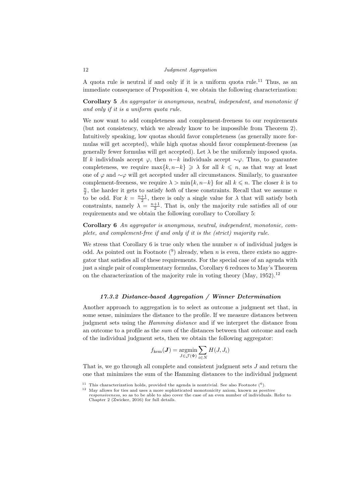A quota rule is neutral if and only if it is a uniform quota rule.<sup>11</sup> Thus, as an immediate consequence of Proposition 4, we obtain the following characterization:

Corollary 5 An aggregator is anonymous, neutral, independent, and monotonic if and only if it is a uniform quota rule.

We now want to add completeness and complement-freeness to our requirements (but not consistency, which we already know to be impossible from Theorem 2). Intuitively speaking, low quotas should favor completeness (as generally more formulas will get accepted), while high quotas should favor complement-freeness (as generally fewer formulas will get accepted). Let  $\lambda$  be the uniformly imposed quota. If k individuals accept  $\varphi$ , then  $n-k$  individuals accept  $\sim \varphi$ . Thus, to guarantee completeness, we require  $\max\{k, n-k\} \geq \lambda$  for all  $k \leq n$ , as that way at least one of  $\varphi$  and  $\sim \varphi$  will get accepted under all circumstances. Similarly, to guarantee complement-freeness, we require  $\lambda > \min\{k, n-k\}$  for all  $k \leq n$ . The closer k is to  $\frac{n}{2}$ , the harder it gets to satisfy *both* of these constraints. Recall that we assume n to be odd. For  $k = \frac{n+1}{2}$ , there is only a single value for  $\lambda$  that will satisfy both constraints, namely  $\lambda = \frac{n+1}{2}$ . That is, only the majority rule satisfies all of our requirements and we obtain the following corollary to Corollary 5:

# Corollary 6 An aggregator is anonymous, neutral, independent, monotonic, complete, and complement-free if and only if it is the (strict) majority rule.

We stress that Corollary 6 is true only when the number  $n$  of individual judges is odd. As pointed out in Footnote  $(9)$  already, when n is even, there exists no aggregator that satisfies all of these requirements. For the special case of an agenda with just a single pair of complementary formulas, Corollary 6 reduces to May's Theorem on the characterization of the majority rule in voting theory (May, 1952).<sup>12</sup>

# 17.3.2 Distance-based Aggregation / Winner Determination

Another approach to aggregation is to select as outcome a judgment set that, in some sense, minimizes the distance to the profile. If we measure distances between judgment sets using the Hamming distance and if we interpret the distance from an outcome to a profile as the sum of the distances between that outcome and each of the individual judgment sets, then we obtain the following aggregator:

$$
f_{\text{kem}}(\boldsymbol{J}) = \underset{J \in \mathcal{J}(\Phi)}{\operatorname{argmin}} \sum_{i \in N} H(J, J_i)
$$

That is, we go through all complete and consistent judgment sets J and return the one that minimizes the sum of the Hamming distances to the individual judgment

<sup>&</sup>lt;sup>11</sup> This characterization holds, provided the agenda is nontrivial. See also Footnote  $(^6)$ .

<sup>&</sup>lt;sup>12</sup> May allows for ties and uses a more sophisticated monotonicity axiom, known as *positive* responsiveness, so as to be able to also cover the case of an even number of individuals. Refer to Chapter 2 (Zwicker, 2016) for full details.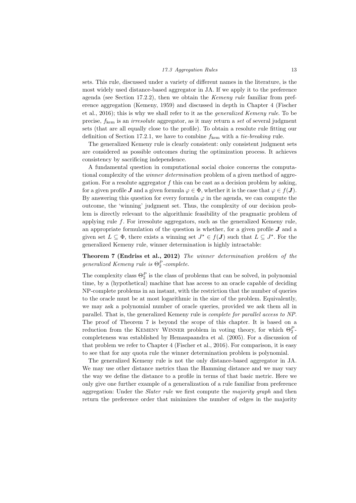sets. This rule, discussed under a variety of different names in the literature, is the most widely used distance-based aggregator in JA. If we apply it to the preference agenda (see Section 17.2.2), then we obtain the Kemeny rule familiar from preference aggregation (Kemeny, 1959) and discussed in depth in Chapter 4 (Fischer et al., 2016); this is why we shall refer to it as the generalized Kemeny rule. To be precise, fkem is an irresolute aggregator, as it may return a set of several judgment sets (that are all equally close to the profile). To obtain a resolute rule fitting our definition of Section 17.2.1, we have to combine  $f_{\text{kem}}$  with a tie-breaking rule.

The generalized Kemeny rule is clearly consistent: only consistent judgment sets are considered as possible outcomes during the optimization process. It achieves consistency by sacrificing independence.

A fundamental question in computational social choice concerns the computational complexity of the *winner determination* problem of a given method of aggregation. For a resolute aggregator f this can be cast as a decision problem by asking, for a given profile J and a given formula  $\varphi \in \Phi$ , whether it is the case that  $\varphi \in f(\mathbf{J})$ . By answering this question for every formula  $\varphi$  in the agenda, we can compute the outcome, the 'winning' judgment set. Thus, the complexity of our decision problem is directly relevant to the algorithmic feasibility of the pragmatic problem of applying rule f. For irresolute aggregators, such as the generalized Kemeny rule, an appropriate formulation of the question is whether, for a given profile  $J$  and a given set  $L \subseteq \Phi$ , there exists a winning set  $J^* \in f(\mathbf{J})$  such that  $L \subseteq J^*$ . For the generalized Kemeny rule, winner determination is highly intractable:

Theorem 7 (Endriss et al., 2012) The winner determination problem of the generalized Kemeny rule is  $\Theta_2^P$ -complete.

The complexity class  $\Theta_2^P$  is the class of problems that can be solved, in polynomial time, by a (hypothetical) machine that has access to an oracle capable of deciding NP-complete problems in an instant, with the restriction that the number of queries to the oracle must be at most logarithmic in the size of the problem. Equivalently, we may ask a polynomial number of oracle queries, provided we ask them all in parallel. That is, the generalized Kemeny rule is complete for parallel access to NP. The proof of Theorem 7 is beyond the scope of this chapter. It is based on a reduction from the KEMENY WINNER problem in voting theory, for which  $\Theta_2^P$ completeness was established by Hemaspaandra et al. (2005). For a discussion of that problem we refer to Chapter 4 (Fischer et al., 2016). For comparison, it is easy to see that for any quota rule the winner determination problem is polynomial.

The generalized Kemeny rule is not the only distance-based aggregator in JA. We may use other distance metrics than the Hamming distance and we may vary the way we define the distance to a profile in terms of that basic metric. Here we only give one further example of a generalization of a rule familiar from preference aggregation: Under the *Slater rule* we first compute the *majority graph* and then return the preference order that minimizes the number of edges in the majority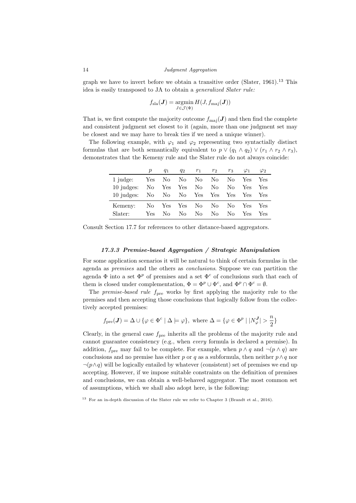graph we have to invert before we obtain a transitive order (Slater,  $1961$ ).<sup>13</sup> This idea is easily transposed to JA to obtain a generalized Slater rule:

$$
f_{\text{sla}}(\boldsymbol{J}) = \operatorname*{argmin}_{J \in \mathcal{J}(\Phi)} H(J, f_{\text{maj}}(\boldsymbol{J}))
$$

That is, we first compute the majority outcome  $f_{\text{maj}}(J)$  and then find the complete and consistent judgment set closest to it (again, more than one judgment set may be closest and we may have to break ties if we need a unique winner).

The following example, with  $\varphi_1$  and  $\varphi_2$  representing two syntactially distinct formulas that are both semantically equivalent to  $p \vee (q_1 \wedge q_2) \vee (r_1 \wedge r_2 \wedge r_3)$ , demonstrates that the Kemeny rule and the Slater rule do not always coincide:

|                                 | р                    | $q_1$            | $q_2$ | $r_1$  | $r_2$          | $r_3$                                                                                                                                                                                                                          | $\varphi_1$ | $\varphi_2$ |
|---------------------------------|----------------------|------------------|-------|--------|----------------|--------------------------------------------------------------------------------------------------------------------------------------------------------------------------------------------------------------------------------|-------------|-------------|
| 1 judge: Yes                    |                      |                  | No No |        | No No          | No to the North Street.                                                                                                                                                                                                        |             | Yes Yes     |
| 10 judges:                      |                      | No Yes Yes No No |       |        |                | No the set of the set of the set of the set of the set of the set of the set of the set of the set of the set of the set of the set of the set of the set of the set of the set of the set of the set of the set of the set of | Yes.        | Yes         |
| 10 judges: No No No Yes Yes Yes |                      |                  |       |        |                |                                                                                                                                                                                                                                |             | Yes Yes     |
| Kemeny:                         | No the set of $\sim$ | Yes              |       | Yes No | No.            | No.                                                                                                                                                                                                                            | Yes         | Yes         |
| Slater:                         | Yes                  | No.              | No.   | No.    | N <sub>o</sub> | No.                                                                                                                                                                                                                            | Yes         | Yes         |

Consult Section 17.7 for references to other distance-based aggregators.

### 17.3.3 Premise-based Aggregation / Strategic Manipulation

For some application scenarios it will be natural to think of certain formulas in the agenda as premises and the others as conclusions. Suppose we can partition the agenda  $\Phi$  into a set  $\Phi^p$  of premises and a set  $\Phi^c$  of conclusions such that each of them is closed under complementation,  $\Phi = \Phi^p \cup \Phi^c$ , and  $\Phi^p \cap \Phi^c = \emptyset$ .

The *premise-based rule*  $f_{\text{pre}}$  works by first applying the majority rule to the premises and then accepting those conclusions that logically follow from the collectively accepted premises:

$$
f_{\text{pre}}(\boldsymbol{J}) = \Delta \cup \{ \varphi \in \Phi^c \mid \Delta \models \varphi \}, \text{ where } \Delta = \{ \varphi \in \Phi^p \mid |N^{\boldsymbol{J}}_{\varphi}| > \frac{n}{2} \}
$$

Clearly, in the general case  $f_{\text{pre}}$  inherits all the problems of the majority rule and cannot guarantee consistency (e.g., when every formula is declared a premise). In addition,  $f_{pre}$  may fail to be complete. For example, when  $p \wedge q$  and  $\neg (p \wedge q)$  are conclusions and no premise has either p or q as a subformula, then neither  $p \wedge q$  nor  $\neg(p \land q)$  will be logically entailed by whatever (consistent) set of premises we end up accepting. However, if we impose suitable constraints on the definition of premises and conclusions, we can obtain a well-behaved aggregator. The most common set of assumptions, which we shall also adopt here, is the following:

<sup>&</sup>lt;sup>13</sup> For an in-depth discussion of the Slater rule we refer to Chapter 3 (Brandt et al., 2016).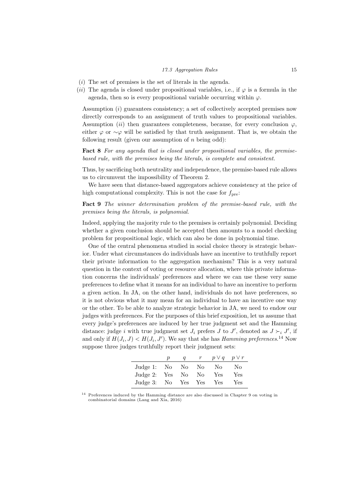#### 17.3 Aggregation Rules 15

- $(i)$  The set of premises is the set of literals in the agenda.
- (ii) The agenda is closed under propositional variables, i.e., if  $\varphi$  is a formula in the agenda, then so is every propositional variable occurring within  $\varphi$ .

Assumption  $(i)$  guarantees consistency; a set of collectively accepted premises now directly corresponds to an assignment of truth values to propositional variables. Assumption (ii) then guarantees completeness, because, for every conclusion  $\varphi$ , either  $\varphi$  or  $\sim \varphi$  will be satisfied by that truth assignment. That is, we obtain the following result (given our assumption of  $n$  being odd):

Fact 8 For any agenda that is closed under propositional variables, the premisebased rule, with the premises being the literals, is complete and consistent.

Thus, by sacrificing both neutrality and independence, the premise-based rule allows us to circumvent the impossibility of Theorem 2.

We have seen that distance-based aggregators achieve consistency at the price of high computational complexity. This is not the case for  $f_{\text{pre}}$ :

Fact 9 The winner determination problem of the premise-based rule, with the premises being the literals, is polynomial.

Indeed, applying the majority rule to the premises is certainly polynomial. Deciding whether a given conclusion should be accepted then amounts to a model checking problem for propositional logic, which can also be done in polynomial time.

One of the central phenomena studied in social choice theory is strategic behavior. Under what circumstances do individuals have an incentive to truthfully report their private information to the aggregation mechanism? This is a very natural question in the context of voting or resource allocation, where this private information concerns the individuals' preferences and where we can use these very same preferences to define what it means for an individual to have an incentive to perform a given action. In JA, on the other hand, individuals do not have preferences, so it is not obvious what it may mean for an individual to have an incentive one way or the other. To be able to analyze strategic behavior in JA, we need to endow our judges with preferences. For the purposes of this brief exposition, let us assume that every judge's preferences are induced by her true judgment set and the Hamming distance: judge i with true judgment set  $J_i$  prefers  $J$  to  $J'$ , denoted as  $J \succ_i J'$ , if and only if  $H(J_i, J) < H(J_i, J')$ . We say that she has *Hamming preferences*.<sup>14</sup> Now suppose three judges truthfully report their judgment sets:

|                   | D | $r_{-}$ |      | $p \vee q$ $p \vee r$ |
|-------------------|---|---------|------|-----------------------|
| Judge 1: No No No |   |         | - No | No                    |
| Judge 2: Yes No   |   | No.     | Yes  | Yes                   |
| Judge 3: No Yes   |   | Yes     | Yes  | Yes                   |

<sup>14</sup> Preferences induced by the Hamming distance are also discussed in Chapter 9 on voting in combinatorial domains (Lang and Xia, 2016)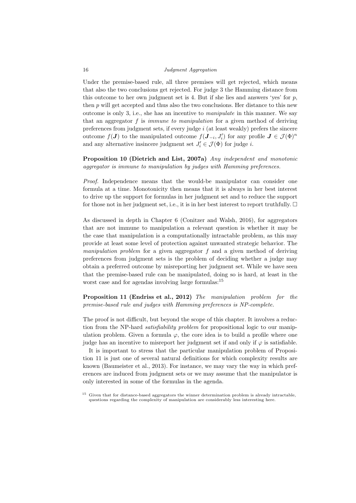Under the premise-based rule, all three premises will get rejected, which means that also the two conclusions get rejected. For judge 3 the Hamming distance from this outcome to her own judgment set is 4. But if she lies and answers 'yes' for  $p$ , then p will get accepted and thus also the two conclusions. Her distance to this new outcome is only 3, i.e., she has an incentive to manipulate in this manner. We say that an aggregator  $f$  is *immune to manipulation* for a given method of deriving preferences from judgment sets, if every judge  $i$  (at least weakly) prefers the sincere outcome  $f(\mathbf{J})$  to the manipulated outcome  $f(\mathbf{J}_{-i}, J'_i)$  for any profile  $\mathbf{J} \in \mathcal{J}(\Phi)^n$ and any alternative insincere judgment set  $J_i' \in \mathcal{J}(\Phi)$  for judge *i*.

Proposition 10 (Dietrich and List, 2007a) Any independent and monotonic aggregator is immune to manipulation by judges with Hamming preferences.

Proof. Independence means that the would-be manipulator can consider one formula at a time. Monotonicity then means that it is always in her best interest to drive up the support for formulas in her judgment set and to reduce the support for those not in her judgment set, i.e., it is in her best interest to report truthfully.  $\Box$ 

As discussed in depth in Chapter 6 (Conitzer and Walsh, 2016), for aggregators that are not immune to manipulation a relevant question is whether it may be the case that manipulation is a computationally intractable problem, as this may provide at least some level of protection against unwanted strategic behavior. The *manipulation problem* for a given aggregator  $f$  and a given method of deriving preferences from judgment sets is the problem of deciding whether a judge may obtain a preferred outcome by misreporting her judgment set. While we have seen that the premise-based rule can be manipulated, doing so is hard, at least in the worst case and for agendas involving large formulas:<sup>15</sup>

Proposition 11 (Endriss et al., 2012) The manipulation problem for the premise-based rule and judges with Hamming preferences is NP-complete.

The proof is not difficult, but beyond the scope of this chapter. It involves a reduction from the NP-hard *satisfiability problem* for propositional logic to our manipulation problem. Given a formula  $\varphi$ , the core idea is to build a profile where one judge has an incentive to misreport her judgment set if and only if  $\varphi$  is satisfiable.

It is important to stress that the particular manipulation problem of Proposition 11 is just one of several natural definitions for which complexity results are known (Baumeister et al., 2013). For instance, we may vary the way in which preferences are induced from judgment sets or we may assume that the manipulator is only interested in some of the formulas in the agenda.

 $^{15}\,$  Given that for distance-based aggregators the winner determination problem is already intractable, questions regarding the complexity of manipulation are considerably less interesting here.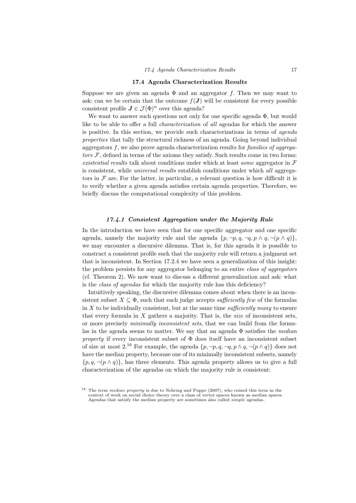# 17.4 Agenda Characterization Results

Suppose we are given an agenda  $\Phi$  and an aggregator f. Then we may want to ask: can we be certain that the outcome  $f(\mathbf{J})$  will be consistent for every possible consistent profile  $J \in \mathcal{J}(\Phi)^n$  over this agenda?

We want to answer such questions not only for one specific agenda Φ, but would like to be able to offer a full characterization of all agendas for which the answer is positive. In this section, we provide such characterizations in terms of agenda properties that tally the structural richness of an agenda. Going beyond individual aggregators  $f$ , we also prove agenda characterization results for families of aggregators  $\mathcal F$ , defined in terms of the axioms they satisfy. Such results come in two forms: existential results talk about conditions under which at least some aggregator in  $\mathcal F$ is consistent, while *universal results* establish conditions under which all aggregators in  $\mathcal F$  are. For the latter, in particular, a relevant question is how difficult it is to verify whether a given agenda satisfies certain agenda properties. Therefore, we briefly discuss the computational complexity of this problem.

#### 17.4.1 Consistent Aggregation under the Majority Rule

In the introduction we have seen that for one specific aggregator and one specific agenda, namely the majority rule and the agenda  $\{p, \neg p, q, \neg q, p \land q, \neg (p \land q)\}\,$ we may encounter a discursive dilemma. That is, for this agenda it is possible to construct a consistent profile such that the majority rule will return a judgment set that is inconsistent. In Section 17.2.4 we have seen a generalization of this insight: the problem persists for any aggregator belonging to an entire class of aggregators (cf. Theorem 2). We now want to discuss a different generalization and ask: what is the class of agendas for which the majority rule has this deficiency?

Intuitively speaking, the discursive dilemma comes about when there is an inconsistent subset  $X \subseteq \Phi$ , such that each judge accepts sufficiently few of the formulas in X to be individually consistent, but at the same time sufficiently many to ensure that every formula in  $X$  gathers a majority. That is, the size of inconsistent sets, or more precisely minimally inconsistent sets, that we can build from the formulas in the agenda seems to matter. We say that an agenda  $\Phi$  satisfies the median *property* if every inconsistent subset of  $\Phi$  does itself have an inconsistent subset of size at most 2.<sup>16</sup> For example, the agenda  $\{p, \neg p, q, \neg q, p \wedge q, \neg (p \wedge q)\}\)$  does not have the median property, because one of its minimally inconsistent subsets, namely  $\{p,q,\neg(p\land q)\}\$ , has three elements. This agenda property allows us to give a full characterization of the agendas on which the majority rule is consistent:

<sup>&</sup>lt;sup>16</sup> The term *median property* is due to Nehring and Puppe (2007), who coined this term in the context of work on social choice theory over a class of vector spaces known as median spaces. Agendas that satisfy the median property are sometimes also called simple agendas.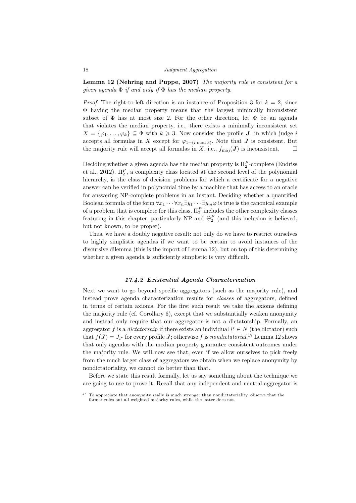Lemma 12 (Nehring and Puppe, 2007) The majority rule is consistent for  $a$ given agenda  $\Phi$  if and only if  $\Phi$  has the median property.

*Proof.* The right-to-left direction is an instance of Proposition 3 for  $k = 2$ , since Φ having the median property means that the largest minimally inconsistent subset of  $\Phi$  has at most size 2. For the other direction, let  $\Phi$  be an agenda that violates the median property, i.e., there exists a minimally inconsistent set  $X = {\varphi_1, \ldots, \varphi_k} \subseteq \Phi$  with  $k \geq 3$ . Now consider the profile **J**, in which judge i accepts all formulas in X except for  $\varphi_{1+(i \mod 3)}$ . Note that J is consistent. But the majority rule will accept all formulas in X, i.e.,  $f_{\text{maj}}(J)$  is inconsistent.

Deciding whether a given agenda has the median property is  $\Pi_2^P$ -complete (Endriss et al., 2012).  $\Pi_2^P$ , a complexity class located at the second level of the polynomial hierarchy, is the class of decision problems for which a certificate for a negative answer can be verified in polynomial time by a machine that has access to an oracle for answering NP-complete problems in an instant. Deciding whether a quantified Boolean formula of the form  $\forall x_1 \cdots \forall x_n \exists y_1 \cdots \exists y_m \varphi$  is true is the canonical example of a problem that is complete for this class.  $\Pi_2^P$  includes the other complexity classes featuring in this chapter, particularly NP and  $\Theta_2^P$  (and this inclusion is believed, but not known, to be proper).

Thus, we have a doubly negative result: not only do we have to restrict ourselves to highly simplistic agendas if we want to be certain to avoid instances of the discursive dilemma (this is the import of Lemma 12), but on top of this determining whether a given agenda is sufficiently simplistic is very difficult.

#### 17.4.2 Existential Agenda Characterization

Next we want to go beyond specific aggregators (such as the majority rule), and instead prove agenda characterization results for classes of aggregators, defined in terms of certain axioms. For the first such result we take the axioms defining the majority rule (cf. Corollary 6), except that we substantially weaken anonymity and instead only require that our aggregator is not a dictatorship. Formally, an aggregator f is a *dictatorship* if there exists an individual  $i^* \in N$  (the dictator) such that  $f(\mathbf{J}) = J_{i^*}$  for every profile  $\mathbf{J}$ ; otherwise f is nondictatorial.<sup>17</sup> Lemma 12 shows that only agendas with the median property guarantee consistent outcomes under the majority rule. We will now see that, even if we allow ourselves to pick freely from the much larger class of aggregators we obtain when we replace anonymity by nondictatoriality, we cannot do better than that.

Before we state this result formally, let us say something about the technique we are going to use to prove it. Recall that any independent and neutral aggregator is

<sup>17</sup> To appreciate that anonymity really is much stronger than nondictatoriality, observe that the former rules out all weighted majority rules, while the latter does not.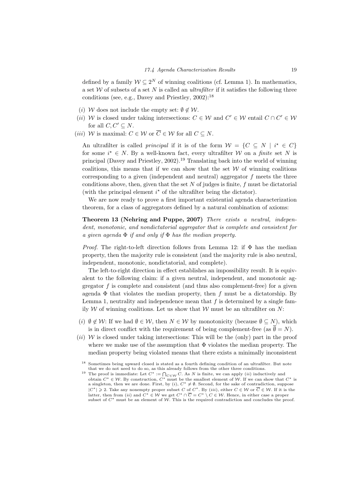defined by a family  $W \subseteq 2^N$  of winning coalitions (cf. Lemma 1). In mathematics, a set W of subsets of a set N is called an *ultrafilter* if it satisfies the following three conditions (see, e.g., Davey and Priestley,  $2002$ ):<sup>18</sup>

- (i) W does not include the empty set:  $\emptyset \notin W$ .
- (ii) W is closed under taking intersections:  $C \in W$  and  $C' \in W$  entail  $C \cap C' \in W$ for all  $C, C' \subseteq N$ .
- (*iii*) W is maximal:  $C \in \mathcal{W}$  or  $\overline{C} \in \mathcal{W}$  for all  $C \subseteq N$ .

An ultrafilter is called *principal* if it is of the form  $W = \{C \subseteq N \mid i^* \in C\}$ for some  $i^* \in N$ . By a well-known fact, every ultrafilter W on a finite set N is principal (Davey and Priestley, 2002).<sup>19</sup> Translating back into the world of winning coalitions, this means that if we can show that the set  $W$  of winning coalitions corresponding to a given (independent and neutral) aggregator  $f$  meets the three conditions above, then, given that the set  $N$  of judges is finite,  $f$  must be dictatorial (with the principal element  $i^*$  of the ultrafilter being the dictator).

We are now ready to prove a first important existential agenda characterization theorem, for a class of aggregators defined by a natural combination of axioms:

Theorem 13 (Nehring and Puppe, 2007) There exists a neutral, independent, monotonic, and nondictatorial aggregator that is complete and consistent for a given agenda  $\Phi$  if and only if  $\Phi$  has the median property.

*Proof.* The right-to-left direction follows from Lemma 12: if  $\Phi$  has the median property, then the majority rule is consistent (and the majority rule is also neutral, independent, monotonic, nondictatorial, and complete).

The left-to-right direction in effect establishes an impossibility result. It is equivalent to the following claim: if a given neutral, independent, and monotonic aggregator  $f$  is complete and consistent (and thus also complement-free) for a given agenda  $\Phi$  that violates the median property, then f must be a dictatorship. By Lemma 1, neutrality and independence mean that  $f$  is determined by a single family W of winning coalitions. Let us show that W must be an ultrafilter on  $N$ :

- (i)  $\emptyset \notin \mathcal{W}$ : If we had  $\emptyset \in \mathcal{W}$ , then  $N \in \mathcal{W}$  by monotonicity (because  $\emptyset \subseteq N$ ), which is in direct conflict with the requirement of being complement-free (as  $\overline{\emptyset} = N$ ).
- $(ii)$  W is closed under taking intersections: This will be the (only) part in the proof where we make use of the assumption that  $\Phi$  violates the median property. The median property being violated means that there exists a minimally inconsistent

<sup>&</sup>lt;sup>18</sup> Sometimes being upward closed is stated as a fourth defining condition of an ultrafilter. But note that we do not need to do so, as this already follows from the other three conditions.

<sup>&</sup>lt;sup>19</sup> The proof is immediate: Let  $C^* := \bigcap_{C \in \mathcal{W}} C$ . As N is finite, we can apply *(ii)* inductively and obtain  $C^* \in \mathcal{W}$ . By construction,  $C^*$  must be the smallest element of  $\mathcal{W}$ . If we can show that  $C^*$  i a singleton, then we are done. First, by (i),  $C^* \neq \emptyset$ . Second, for the sake of contradiction, suppose  $|C^*| \geqslant 2$ . Take any nonempty proper subset C of  $C^*$ . By (iii), either  $C \in \mathcal{W}$  or  $\overline{C} \in \mathcal{W}$ . If it is the latter, then from (ii) and  $C^* \in \mathcal{W}$  we get  $C^* \cap \overline{C} = C^* \setminus C \in \mathcal{W}$ . Hence, in either case a proper subset of  $C^*$  must be an element of  $\mathcal{W}$ . This is the required contradiction and concludes the proof.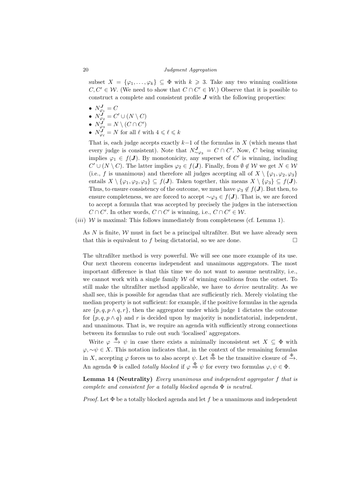subset  $X = {\varphi_1, \ldots, \varphi_k} \subseteq \Phi$  with  $k \geq 3$ . Take any two winning coalitions  $C, C' \in W$ . (We need to show that  $C \cap C' \in W$ .) Observe that it is possible to construct a complete and consistent profile  $J$  with the following properties:

- $N^{\mathbf{J}}_{\varphi_1} = C$
- $\bullet\;N^{\textbf{\textit{J}}\!\varphi_2} = C' \cup (N \setminus C)$
- $\bullet~~ N^{\textbf{\emph{J}}\!\varphi_3}=N\setminus(C\cap C')$
- $N_{\varphi_{\ell}}^{\mathbf{J}} = N$  for all  $\ell$  with  $4 \leqslant \ell \leqslant k$

That is, each judge accepts exactly  $k-1$  of the formulas in X (which means that every judge is consistent). Note that  $N^J_{\sim \varphi_3} = C \cap C'$ . Now, C being winning implies  $\varphi_1 \in f(\mathbf{J})$ . By monotonicity, any superset of C' is winning, including  $C' \cup (N \setminus C)$ . The latter implies  $\varphi_2 \in f(\mathbf{J})$ . Finally, from  $\emptyset \notin \mathcal{W}$  we get  $N \in \mathcal{W}$ (i.e., f is unanimous) and therefore all judges accepting all of  $X \setminus {\varphi_1, \varphi_2, \varphi_3}$ entails  $X \setminus {\varphi_1, \varphi_2, \varphi_3} \subseteq f(\mathbf{J})$ . Taken together, this means  $X \setminus {\varphi_3} \subseteq f(\mathbf{J})$ . Thus, to ensure consistency of the outcome, we must have  $\varphi_3 \notin f(\mathbf{J})$ . But then, to ensure completeness, we are forced to accept  $\sim\varphi_3 \in f(\mathbf{J})$ . That is, we are forced to accept a formula that was accepted by precisely the judges in the intersection  $C \cap C'$ . In other words,  $C \cap C'$  is winning, i.e.,  $C \cap C' \in W$ .

(*iii*)  $W$  is maximal: This follows immediately from completeness (cf. Lemma 1).

As  $N$  is finite,  $W$  must in fact be a principal ultrafilter. But we have already seen that this is equivalent to f being dictatorial, so we are done.  $\square$ 

The ultrafilter method is very powerful. We will see one more example of its use. Our next theorem concerns independent and unanimous aggregators. The most important difference is that this time we do not want to assume neutrality, i.e., we cannot work with a single family  $W$  of winning coalitions from the outset. To still make the ultrafilter method applicable, we have to derive neutrality. As we shall see, this is possible for agendas that are sufficiently rich. Merely violating the median property is not sufficient: for example, if the positive formulas in the agenda are  $\{p, q, p \wedge q, r\}$ , then the aggregator under which judge 1 dictates the outcome for  $\{p, q, p \wedge q\}$  and r is decided upon by majority is nondictatorial, independent, and unanimous. That is, we require an agenda with sufficiently strong connections between its formulas to rule out such 'localised' aggregators.

Write  $\varphi \stackrel{\Phi}{\to} \psi$  in case there exists a minimally inconsistent set  $X \subseteq \Phi$  with  $\varphi, \neg \psi \in X$ . This notation indicates that, in the context of the remaining formulas in X, accepting  $\varphi$  forces us to also accept  $\psi$ . Let  $\stackrel{\Phi}{\Rightarrow}$  be the transitive closure of  $\stackrel{\Phi}{\rightarrow}$ . An agenda  $\Phi$  is called *totally blocked* if  $\varphi \stackrel{\Phi}{\Rightarrow} \psi$  for every two formulas  $\varphi, \psi \in \Phi$ .

Lemma 14 (Neutrality) Every unanimous and independent aggregator f that is complete and consistent for a totally blocked agenda  $\Phi$  is neutral.

*Proof.* Let  $\Phi$  be a totally blocked agenda and let f be a unanimous and independent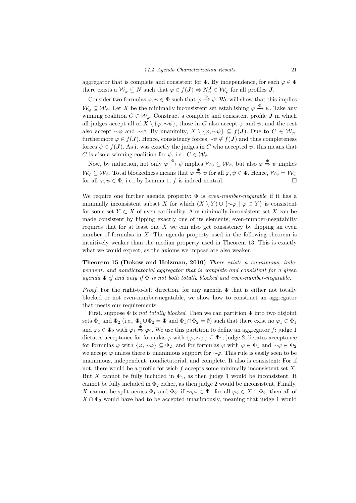aggregator that is complete and consistent for  $\Phi$ . By independence, for each  $\varphi \in \Phi$ there exists a  $\mathcal{W}_{\varphi} \subseteq N$  such that  $\varphi \in f(\mathbf{J}) \Leftrightarrow N_{\varphi}^{\mathbf{J}} \in \mathcal{W}_{\varphi}$  for all profiles  $\mathbf{J}$ .

Consider two formulas  $\varphi, \psi \in \Phi$  such that  $\varphi \stackrel{\Phi}{\to} \psi$ . We will show that this implies  $\mathcal{W}_{\varphi} \subseteq \mathcal{W}_{\psi}$ : Let X be the minimally inconsistent set establishing  $\varphi \stackrel{\Phi}{\to} \psi$ . Take any winning coalition  $C \in \mathcal{W}_{\varphi}$ . Construct a complete and consistent profile  $J$  in which all judges accept all of  $X \setminus {\varphi, \sim \psi}$ , those in C also accept  $\varphi$  and  $\psi$ , and the rest also accept  $\sim\varphi$  and  $\sim\psi$ . By unanimity,  $X \setminus {\varphi, \sim\psi} \subseteq f(\mathbf{J})$ . Due to  $C \in \mathcal{W}_{\varphi}$ , furthermore  $\varphi \in f(\mathbf{J})$ . Hence, consistency forces  $\sim \psi \notin f(\mathbf{J})$  and thus completeness forces  $\psi \in f(\mathbf{J})$ . As it was exactly the judges in C who accepted  $\psi$ , this means that C is also a winning coalition for  $\psi$ , i.e.,  $C \in \mathcal{W}_{\psi}$ .

Now, by induction, not only  $\varphi \stackrel{\Phi}{\to} \psi$  implies  $\mathcal{W}_{\varphi} \subseteq \mathcal{W}_{\psi}$ , but also  $\varphi \stackrel{\Phi}{\Rightarrow} \psi$  implies  $\mathcal{W}_{\varphi} \subseteq \mathcal{W}_{\psi}$ . Total blockedness means that  $\varphi \stackrel{\Phi}{\Rightarrow} \psi$  for all  $\varphi, \psi \in \Phi$ . Hence,  $\mathcal{W}_{\varphi} = \mathcal{W}_{\psi}$ for all  $\varphi, \psi \in \Phi$ , i.e., by Lemma 1, f is indeed neutral.

We require one further agenda property:  $\Phi$  is *even-number-negatable* if it has a minimally inconsistent subset X for which  $(X \setminus Y) \cup \{\sim \varphi \mid \varphi \in Y\}$  is consistent for some set  $Y \subset X$  of even cardinality. Any minimally inconsistent set X can be made consistent by flipping exactly one of its elements; even-number-negatabilty requires that for at least one  $X$  we can also get consistency by flipping an even number of formulas in  $X$ . The agenda property used in the following theorem is intuitively weaker than the median property used in Theorem 13. This is exactly what we would expect, as the axioms we impose are also weaker.

Theorem 15 (Dokow and Holzman, 2010) There exists a unanimous, independent, and nondictatorial aggregator that is complete and consistent for a given agenda  $\Phi$  if and only if  $\Phi$  is not both totally blocked and even-number-negatable.

*Proof.* For the right-to-left direction, for any agenda  $\Phi$  that is either not totally blocked or not even-number-negatable, we show how to construct an aggregator that meets our requirements.

First, suppose  $\Phi$  is not totally blocked. Then we can partition  $\Phi$  into two disjoint sets  $\Phi_1$  and  $\Phi_2$  (i.e.,  $\Phi_1 \cup \Phi_2 = \Phi$  and  $\Phi_1 \cap \Phi_2 = \emptyset$ ) such that there exist no  $\varphi_1 \in \Phi_1$ and  $\varphi_2 \in \Phi_2$  with  $\varphi_1 \stackrel{\Phi}{\Rightarrow} \varphi_2$ . We use this partition to define an aggregator f: judge 1 dictates acceptance for formulas  $\varphi$  with  $\{\varphi, \sim \varphi\} \subseteq \Phi_1$ ; judge 2 dictates acceptance for formulas  $\varphi$  with  $\{\varphi, \sim \varphi\} \subseteq \Phi_2$ ; and for formulas  $\varphi$  with  $\varphi \in \Phi_1$  and  $\sim \varphi \in \Phi_2$ we accept  $\varphi$  unless there is unanimous support for ∼ $\varphi$ . This rule is easily seen to be unanimous, independent, nondictatorial, and complete. It also is consistent: For if not, there would be a profile for wich  $f$  accepts some minimally inconsistent set  $X$ . But X cannot be fully included in  $\Phi_1$ , as then judge 1 would be inconsistent. It cannot be fully included in  $\Phi_2$  either, as then judge 2 would be inconsistent. Finally, X cannot be split across  $\Phi_1$  and  $\Phi_2$ : if  $\sim \varphi_2 \in \Phi_1$  for all  $\varphi_2 \in X \cap \Phi_2$ , then all of  $X \cap \Phi_2$  would have had to be accepted unanimously, meaning that judge 1 would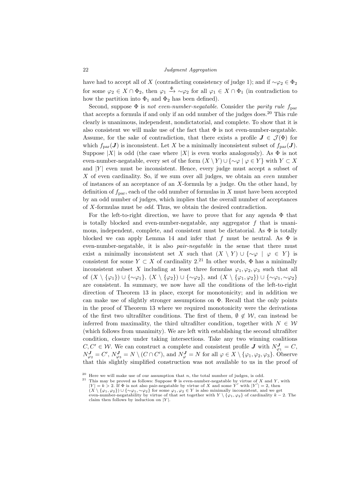have had to accept all of X (contradicting consistency of judge 1); and if  $\sim\!\varphi_2\in\Phi_2$ for some  $\varphi_2 \in X \cap \Phi_2$ , then  $\varphi_1 \stackrel{\Phi}{\to} \sim \varphi_2$  for all  $\varphi_1 \in X \cap \Phi_1$  (in contradiction to how the partition into  $\Phi_1$  and  $\Phi_2$  has been defined).

Second, suppose  $\Phi$  is not even-number-negatable. Consider the parity rule  $f_{\text{par}}$ that accepts a formula if and only if an odd number of the judges does.<sup>20</sup> This rule clearly is unanimous, independent, nondictatorial, and complete. To show that it is also consistent we will make use of the fact that  $\Phi$  is not even-number-negatable. Assume, for the sake of contradiction, that there exists a profile  $J \in \mathcal{J}(\Phi)$  for which  $f_{\text{par}}(\mathbf{J})$  is inconsistent. Let X be a minimally inconsistent subset of  $f_{\text{par}}(\mathbf{J})$ . Suppose |X| is odd (the case where |X| is even works analogously). As  $\Phi$  is not even-number-negatable, every set of the form  $(X \ Y) \cup {\sim} \varphi \mid \varphi \in Y$  with  $Y \subset X$ and  $|Y|$  even must be inconsistent. Hence, every judge must accept a subset of X of even cardinality. So, if we sum over all judges, we obtain an even number of instances of an acceptance of an X-formula by a judge. On the other hand, by definition of  $f_{\text{par}}$ , each of the odd number of formulas in X must have been accepted by an odd number of judges, which implies that the overall number of acceptances of X-formulas must be odd. Thus, we obtain the desired contradiction.

For the left-to-right direction, we have to prove that for any agenda  $\Phi$  that is totally blocked and even-number-negatable, any aggregator  $f$  that is unanimous, independent, complete, and consistent must be dictatorial. As  $\Phi$  is totally blocked we can apply Lemma 14 and infer that f must be neutral. As  $\Phi$  is even-number-negatable, it is also *pair-negatable* in the sense that there must exist a minimally inconsistent set X such that  $(X \setminus Y) \cup {\sim} \varphi \mid \varphi \in Y$  is consistent for some  $Y \subset X$  of cardinality  $2^{21}$  In other words,  $\Phi$  has a minimally inconsistent subset X including at least three formulas  $\varphi_1, \varphi_2, \varphi_3$  such that all of  $(X \setminus \{\varphi_1\}) \cup \{\sim \varphi_1\}, (X \setminus \{\varphi_2\}) \cup \{\sim \varphi_2\}, \text{ and } (X \setminus \{\varphi_1, \varphi_2\}) \cup \{\sim \varphi_1, \sim \varphi_2\}$ are consistent. In summary, we now have all the conditions of the left-to-right direction of Theorem 13 in place, except for monotonicity; and in addition we can make use of slightly stronger assumptions on  $\Phi$ . Recall that the only points in the proof of Theorem 13 where we required monotonicity were the derivations of the first two ultrafilter conditions. The first of them,  $\emptyset \notin \mathcal{W}$ , can instead be inferred from maximality, the third ultrafilter condition, together with  $N \in W$ (which follows from unanimity). We are left with establishing the second ultrafilter condition, closure under taking intersections. Take any two winning coalitions  $C, C' \in W$ . We can construct a complete and consistent profile **J** with  $N_{\varphi_1}^{\mathbf{J}} = C$ ,  $N_{\varphi_2}^{\mathbf{J}} = C', N_{\varphi_3}^{\mathbf{J}} = N \setminus (C \cap C'),$  and  $N_{\varphi}^{\mathbf{J}} = N$  for all  $\varphi \in X \setminus {\varphi_1, \varphi_2, \varphi_3}.$  Observe that this slightly simplified construction was not available to us in the proof of

<sup>&</sup>lt;sup>20</sup> Here we will make use of our assumption that  $n$ , the total number of judges, is odd.

<sup>&</sup>lt;sup>21</sup> This may be proved as follows: Suppose  $\Phi$  is even-number-negatable by virtue of X and Y, with  $|Y'| = k > 2$ . If  $\Phi$  is not also pair-negatable by virtue of X and some Y' with  $|Y'| = 2$ , then

 $(X \setminus {\varphi_1, \varphi_2}) \cup {\sim \varphi_1, \neg \varphi_2}$  for some  $\varphi_1, \varphi_2 \in Y$  is also minimally inconsistent, and we get even-number-negatability by virtue of that set together with  $Y \setminus {\varphi_1, \varphi_2}$  of cardinality  $k - 2$ . The claim then follows by induction on  $|Y|$ .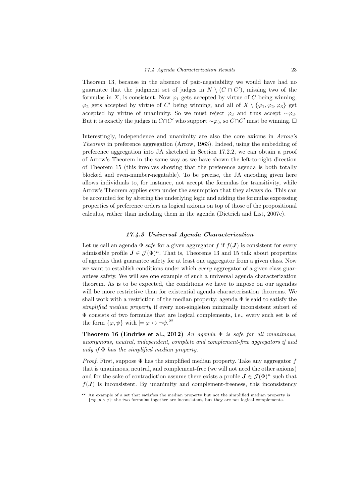Theorem 13, because in the absence of pair-negatability we would have had no guarantee that the judgment set of judges in  $N \setminus (C \cap C')$ , missing two of the formulas in X, is consistent. Now  $\varphi_1$  gets accepted by virtue of C being winning,  $\varphi_2$  gets accepted by virtue of C' being winning, and all of  $X \setminus {\varphi_1, \varphi_2, \varphi_3}$  get accepted by virtue of unanimity. So we must reject  $\varphi_3$  and thus accept ∼ $\varphi_3$ . But it is exactly the judges in  $C \cap C'$  who support  $\sim \varphi_3$ , so  $C \cap C'$  must be winning.  $\Box$ 

Interestingly, independence and unanimity are also the core axioms in Arrow's Theorem in preference aggregation (Arrow, 1963). Indeed, using the embedding of preference aggregation into JA sketched in Section 17.2.2, we can obtain a proof of Arrow's Theorem in the same way as we have shown the left-to-right direction of Theorem 15 (this involves showing that the preference agenda is both totally blocked and even-number-negatable). To be precise, the JA encoding given here allows individuals to, for instance, not accept the formulas for transitivity, while Arrow's Theorem applies even under the assumption that they always do. This can be accounted for by altering the underlying logic and adding the formulas expressing properties of preference orders as logical axioms on top of those of the propositional calculus, rather than including them in the agenda (Dietrich and List, 2007c).

# 17.4.3 Universal Agenda Characterization

Let us call an agenda  $\Phi$  *safe* for a given aggregator f if  $f(\mathbf{J})$  is consistent for every admissible profile  $J \in \mathcal{J}(\Phi)^n$ . That is, Theorems 13 and 15 talk about properties of agendas that guarantee safety for at least one aggregator from a given class. Now we want to establish conditions under which *every* aggregator of a given class guarantees safety. We will see one example of such a universal agenda characterization theorem. As is to be expected, the conditions we have to impose on our agendas will be more restrictive than for existential agenda characterization theorems. We shall work with a restriction of the median property: agenda  $\Phi$  is said to satisfy the simplified median property if every non-singleton minimally inconsistent subset of Φ consists of two formulas that are logical complements, i.e., every such set is of the form  $\{\varphi, \psi\}$  with  $\models \varphi \leftrightarrow \neg \psi$ .<sup>22</sup>

Theorem 16 (Endriss et al., 2012) An agenda  $\Phi$  is safe for all unanimous, anonymous, neutral, independent, complete and complement-free aggregators if and only if  $\Phi$  has the simplified median property.

*Proof.* First, suppose  $\Phi$  has the simplified median property. Take any aggregator f that is unanimous, neutral, and complement-free (we will not need the other axioms) and for the sake of contradiction assume there exists a profile  $\mathbf{J} \in \mathcal{J}(\Phi)^n$  such that  $f(\mathbf{J})$  is inconsistent. By unanimity and complement-freeness, this inconsistency

<sup>&</sup>lt;sup>22</sup> An example of a set that satisfies the median property but not the simplified median property is  ${\neg p, p \land q}$ : the two formulas together are inconsistent, but they are not logical complements.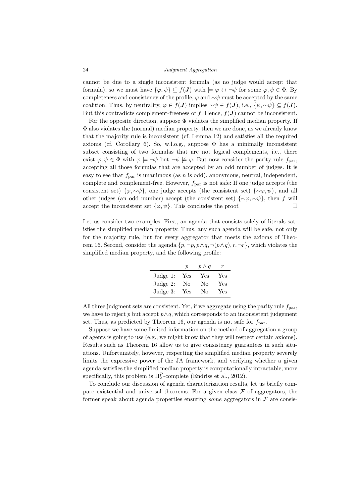cannot be due to a single inconsistent formula (as no judge would accept that formula), so we must have  $\{\varphi, \psi\} \subseteq f(\mathbf{J})$  with  $\models \varphi \leftrightarrow \neg \psi$  for some  $\varphi, \psi \in \Phi$ . By completeness and consistency of the profile,  $\varphi$  and  $\sim \psi$  must be accepted by the same coalition. Thus, by neutrality,  $\varphi \in f(\mathbf{J})$  implies  $\sim \psi \in f(\mathbf{J})$ , i.e.,  $\{\psi, \sim \psi\} \subseteq f(\mathbf{J})$ . But this contradicts complement-freeness of f. Hence,  $f(\boldsymbol{J})$  cannot be inconsistent.

For the opposite direction, suppose  $\Phi$  violates the simplified median property. If Φ also violates the (normal) median property, then we are done, as we already know that the majority rule is inconsistent (cf. Lemma 12) and satisfies all the required axioms (cf. Corollary 6). So, w.l.o.g., suppose  $\Phi$  has a minimally inconsistent subset consisting of two formulas that are not logical complements, i.e., there exist  $\varphi, \psi \in \Phi$  with  $\varphi \models \neg \psi$  but  $\neg \psi \not\models \varphi$ . But now consider the parity rule  $f_{\text{par}}$ , accepting all those formulas that are accepted by an odd number of judges. It is easy to see that  $f_{\text{par}}$  is unanimous (as n is odd), anonymous, neutral, independent, complete and complement-free. However,  $f_{\text{par}}$  is not safe: If one judge accepts (the consistent set)  $\{\varphi, \sim \psi\}$ , one judge accepts (the consistent set)  $\{\sim \varphi, \psi\}$ , and all other judges (an odd number) accept (the consistent set)  $\{\sim \varphi, \sim \psi\}$ , then f will accept the inconsistent set  $\{\varphi, \psi\}$ . This concludes the proof.

Let us consider two examples. First, an agenda that consists solely of literals satisfies the simplified median property. Thus, any such agenda will be safe, not only for the majority rule, but for every aggregator that meets the axioms of Theorem 16. Second, consider the agenda  $\{p, \neg p, p \wedge q, \neg (p \wedge q), r, \neg r\}$ , which violates the simplified median property, and the following profile:

|          | р   | $p \wedge q$ |     |
|----------|-----|--------------|-----|
| Judge 1: | Yes | Yes          | Yes |
| Judge 2: | No  | No           | Yes |
| Judge 3: | Yes | Nο           | Yes |

All three judgment sets are consistent. Yet, if we aggregate using the parity rule  $f_{\text{par}}$ , we have to reject p but accept  $p \wedge q$ , which corresponds to an inconsistent judgement set. Thus, as predicted by Theorem 16, our agenda is not safe for  $f_{\text{par}}$ .

Suppose we have some limited information on the method of aggregation a group of agents is going to use (e.g., we might know that they will respect certain axioms). Results such as Theorem 16 allow us to give consistency guarantees in such situations. Unfortunately, however, respecting the simplified median property severely limits the expressive power of the JA framework, and verifying whether a given agenda satisfies the simplified median property is computationally intractable; more specifically, this problem is  $\Pi_2^P$ -complete (Endriss et al., 2012).

To conclude our discussion of agenda characterization results, let us briefly compare existential and universal theorems. For a given class  $\mathcal F$  of aggregators, the former speak about agenda properties ensuring *some* aggregators in  $\mathcal F$  are consis-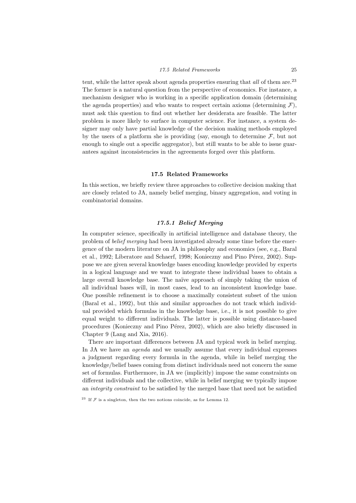tent, while the latter speak about agenda properties ensuring that all of them are.<sup>23</sup> The former is a natural question from the perspective of economics. For instance, a mechanism designer who is working in a specific application domain (determining the agenda properties) and who wants to respect certain axioms (determining  $\mathcal{F}$ ), must ask this question to find out whether her desiderata are feasible. The latter problem is more likely to surface in computer science. For instance, a system designer may only have partial knowledge of the decision making methods employed by the users of a platform she is providing (say, enough to determine  $\mathcal{F}$ , but not enough to single out a specific aggregator), but still wants to be able to issue guarantees against inconsistencies in the agreements forged over this platform.

#### 17.5 Related Frameworks

In this section, we briefly review three approaches to collective decision making that are closely related to JA, namely belief merging, binary aggregation, and voting in combinatorial domains.

### 17.5.1 Belief Merging

In computer science, specifically in artificial intelligence and database theory, the problem of belief merging had been investigated already some time before the emergence of the modern literature on JA in philosophy and economics (see, e.g., Baral et al., 1992; Liberatore and Schaerf, 1998; Konieczny and Pino Pérez, 2002). Suppose we are given several knowledge bases encoding knowledge provided by experts in a logical language and we want to integrate these individual bases to obtain a large overall knowledge base. The naïve approach of simply taking the union of all individual bases will, in most cases, lead to an inconsistent knowledge base. One possible refinement is to choose a maximally consistent subset of the union (Baral et al., 1992), but this and similar approaches do not track which individual provided which formulas in the knowledge base, i.e., it is not possible to give equal weight to different individuals. The latter is possible using distance-based procedures (Konieczny and Pino Pérez, 2002), which are also briefly discussed in Chapter 9 (Lang and Xia, 2016).

There are important differences between JA and typical work in belief merging. In JA we have an *agenda* and we usually assume that every individual expresses a judgment regarding every formula in the agenda, while in belief merging the knowledge/belief bases coming from distinct individuals need not concern the same set of formulas. Furthermore, in JA we (implicitly) impose the same constraints on different individuals and the collective, while in belief merging we typically impose an integrity constraint to be satisfied by the merged base that need not be satisfied

<sup>&</sup>lt;sup>23</sup> If  $\mathcal F$  is a singleton, then the two notions coincide, as for Lemma 12.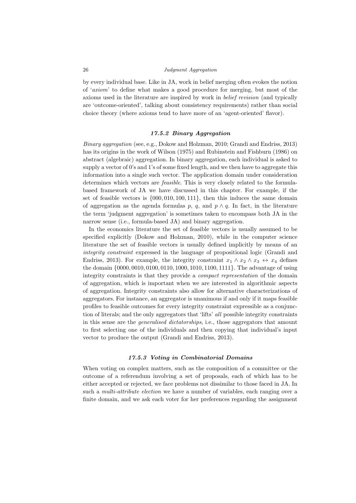by every individual base. Like in JA, work in belief merging often evokes the notion of 'axiom' to define what makes a good procedure for merging, but most of the axioms used in the literature are inspired by work in belief revision (and typically are 'outcome-oriented', talking about consistency requirements) rather than social choice theory (where axioms tend to have more of an 'agent-oriented' flavor).

# 17.5.2 Binary Aggregation

Binary aggregation (see, e.g., Dokow and Holzman, 2010; Grandi and Endriss, 2013) has its origins in the work of Wilson (1975) and Rubinstein and Fishburn (1986) on abstract (algebraic) aggregation. In binary aggregation, each individual is asked to supply a vector of  $0$ 's and  $1$ 's of some fixed length, and we then have to aggregate this information into a single such vector. The application domain under consideration determines which vectors are feasible. This is very closely related to the formulabased framework of JA we have discussed in this chapter. For example, if the set of feasible vectors is {000, 010, 100, 111}, then this induces the same domain of aggregation as the agenda formulas p, q, and  $p \wedge q$ . In fact, in the literature the term 'judgment aggregation' is sometimes taken to encompass both JA in the narrow sense (i.e., formula-based JA) and binary aggregation.

In the economics literature the set of feasible vectors is usually assumed to be specified explicitly (Dokow and Holzman, 2010), while in the computer science literature the set of feasible vectors is usually defined implicitly by means of an integrity constraint expressed in the language of propositional logic (Grandi and Endriss, 2013). For example, the integrity constraint  $x_1 \wedge x_2 \wedge x_3 \leftrightarrow x_4$  defines the domain {0000, 0010, 0100, 0110, 1000, 1010, 1100, 1111}. The advantage of using integrity constraints is that they provide a compact representation of the domain of aggregation, which is important when we are interested in algorithmic aspects of aggregation. Integrity constraints also allow for alternative characterizations of aggregators. For instance, an aggregator is unanimous if and only if it maps feasible profiles to feasible outcomes for every integrity constraint expressible as a conjunction of literals; and the only aggregators that 'lifts' all possible integrity constraints in this sense are the generalised dictatorships, i.e., those aggregators that amount to first selecting one of the individuals and then copying that individual's input vector to produce the output (Grandi and Endriss, 2013).

### 17.5.3 Voting in Combinatorial Domains

When voting on complex matters, such as the composition of a committee or the outcome of a referendum involving a set of proposals, each of which has to be either accepted or rejected, we face problems not dissimilar to those faced in JA. In such a *multi-attribute election* we have a number of variables, each ranging over a finite domain, and we ask each voter for her preferences regarding the assignment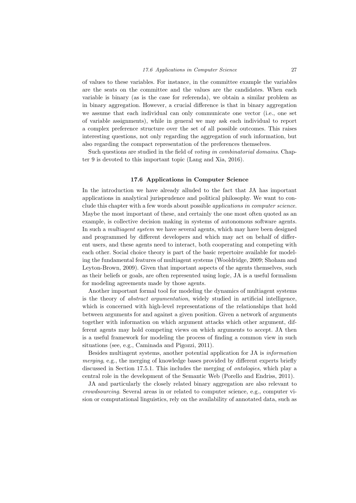of values to these variables. For instance, in the committee example the variables are the seats on the committee and the values are the candidates. When each variable is binary (as is the case for referenda), we obtain a similar problem as in binary aggregation. However, a crucial difference is that in binary aggregation we assume that each individual can only communicate one vector (i.e., one set of variable assignments), while in general we may ask each individual to report a complex preference structure over the set of all possible outcomes. This raises interesting questions, not only regarding the aggregation of such information, but also regarding the compact representation of the preferences themselves.

Such questions are studied in the field of voting in combinatorial domains. Chapter 9 is devoted to this important topic (Lang and Xia, 2016).

# 17.6 Applications in Computer Science

In the introduction we have already alluded to the fact that JA has important applications in analytical jurisprudence and political philosophy. We want to conclude this chapter with a few words about possible applications in computer science. Maybe the most important of these, and certainly the one most often quoted as an example, is collective decision making in systems of autonomous software agents. In such a multiagent system we have several agents, which may have been designed and programmed by different developers and which may act on behalf of different users, and these agents need to interact, both cooperating and competing with each other. Social choice theory is part of the basic repertoire available for modeling the fundamental features of multiagent systems (Wooldridge, 2009; Shoham and Leyton-Brown, 2009). Given that important aspects of the agents themselves, such as their beliefs or goals, are often represented using logic, JA is a useful formalism for modeling agreements made by those agents.

Another important formal tool for modeling the dynamics of multiagent systems is the theory of abstract argumentation, widely studied in artificial intelligence, which is concerned with high-level representations of the relationships that hold between arguments for and against a given position. Given a network of arguments together with information on which argument attacks which other argument, different agents may hold competing views on which arguments to accept. JA then is a useful framework for modeling the process of finding a common view in such situations (see, e.g., Caminada and Pigozzi, 2011).

Besides multiagent systems, another potential application for JA is information merging, e.g., the merging of knowledge bases provided by different experts briefly discussed in Section 17.5.1. This includes the merging of ontologies, which play a central role in the development of the Semantic Web (Porello and Endriss, 2011).

JA and particularly the closely related binary aggregation are also relevant to crowdsourcing. Several areas in or related to computer science, e.g., computer vision or computational linguistics, rely on the availability of annotated data, such as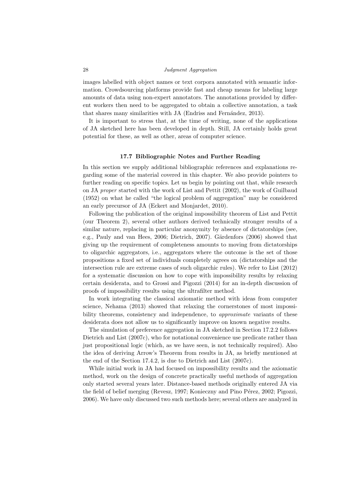images labelled with object names or text corpora annotated with semantic information. Crowdsourcing platforms provide fast and cheap means for labeling large amounts of data using non-expert annotators. The annotations provided by different workers then need to be aggregated to obtain a collective annotation, a task that shares many similarities with JA (Endriss and Fernández, 2013).

It is important to stress that, at the time of writing, none of the applications of JA sketched here has been developed in depth. Still, JA certainly holds great potential for these, as well as other, areas of computer science.

#### 17.7 Bibliographic Notes and Further Reading

In this section we supply additional bibliographic references and explanations regarding some of the material covered in this chapter. We also provide pointers to further reading on specific topics. Let us begin by pointing out that, while research on JA proper started with the work of List and Pettit (2002), the work of Guilbaud (1952) on what he called "the logical problem of aggregation" may be considered an early precursor of JA (Eckert and Monjardet, 2010).

Following the publication of the original impossibility theorem of List and Pettit (our Theorem 2), several other authors derived technically stronger results of a similar nature, replacing in particular anonymity by absence of dictatorships (see, e.g., Pauly and van Hees, 2006; Dietrich, 2007). Gärdenfors (2006) showed that giving up the requirement of completeness amounts to moving from dictatorships to oligarchic aggregators, i.e., aggregators where the outcome is the set of those propositions a fixed set of individuals completely agrees on (dictatorships and the intersection rule are extreme cases of such oligarchic rules). We refer to List (2012) for a systematic discussion on how to cope with impossibility results by relaxing certain desiderata, and to Grossi and Pigozzi (2014) for an in-depth discussion of proofs of impossibility results using the ultrafilter method.

In work integrating the classical axiomatic method with ideas from computer science, Nehama (2013) showed that relaxing the cornerstones of most impossibility theorems, consistency and independence, to *approximate* variants of these desiderata does not allow us to significantly improve on known negative results.

The simulation of preference aggregation in JA sketched in Section 17.2.2 follows Dietrich and List (2007c), who for notational convenience use predicate rather than just propositional logic (which, as we have seen, is not technically required). Also the idea of deriving Arrow's Theorem from results in JA, as briefly mentioned at the end of the Section 17.4.2, is due to Dietrich and List (2007c).

While initial work in JA had focused on impossibility results and the axiomatic method, work on the design of concrete practically useful methods of aggregation only started several years later. Distance-based methods originally entered JA via the field of belief merging (Revesz, 1997; Konieczny and Pino Pérez, 2002; Pigozzi, 2006). We have only discussed two such methods here; several others are analyzed in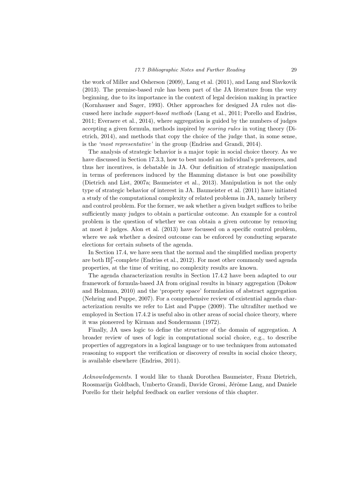the work of Miller and Osherson (2009), Lang et al. (2011), and Lang and Slavkovik (2013). The premise-based rule has been part of the JA literature from the very beginning, due to its importance in the context of legal decision making in practice (Kornhauser and Sager, 1993). Other approaches for designed JA rules not discussed here include support-based methods (Lang et al., 2011; Porello and Endriss, 2011; Everaere et al., 2014), where aggregation is guided by the numbers of judges accepting a given formula, methods inspired by scoring rules in voting theory (Dietrich, 2014), and methods that copy the choice of the judge that, in some sense, is the 'most representative' in the group (Endriss and Grandi, 2014).

The analysis of strategic behavior is a major topic in social choice theory. As we have discussed in Section 17.3.3, how to best model an individual's preferences, and thus her incentives, is debatable in JA. Our definition of strategic manipulation in terms of preferences induced by the Hamming distance is but one possibility (Dietrich and List, 2007a; Baumeister et al., 2013). Manipulation is not the only type of strategic behavior of interest in JA. Baumeister et al. (2011) have initiated a study of the computational complexity of related problems in JA, namely bribery and control problem. For the former, we ask whether a given budget suffices to bribe sufficiently many judges to obtain a particular outcome. An example for a control problem is the question of whether we can obtain a given outcome by removing at most k judges. Alon et al. (2013) have focussed on a specific control problem, where we ask whether a desired outcome can be enforced by conducting separate elections for certain subsets of the agenda.

In Section 17.4, we have seen that the normal and the simplified median property are both  $\Pi_2^P$ -complete (Endriss et al., 2012). For most other commonly used agenda properties, at the time of writing, no complexity results are known.

The agenda characterization results in Section 17.4.2 have been adapted to our framework of formula-based JA from original results in binary aggregation (Dokow and Holzman, 2010) and the 'property space' formulation of abstract aggregation (Nehring and Puppe, 2007). For a comprehensive review of existential agenda characterization results we refer to List and Puppe (2009). The ultrafilter method we employed in Section 17.4.2 is useful also in other areas of social choice theory, where it was pioneered by Kirman and Sondermann (1972).

Finally, JA uses logic to define the structure of the domain of aggregation. A broader review of uses of logic in computational social choice, e.g., to describe properties of aggregators in a logical language or to use techniques from automated reasoning to support the verification or discovery of results in social choice theory, is available elsewhere (Endriss, 2011).

Acknowledgements. I would like to thank Dorothea Baumeister, Franz Dietrich, Roosmarijn Goldbach, Umberto Grandi, Davide Grossi, Jérôme Lang, and Daniele Porello for their helpful feedback on earlier versions of this chapter.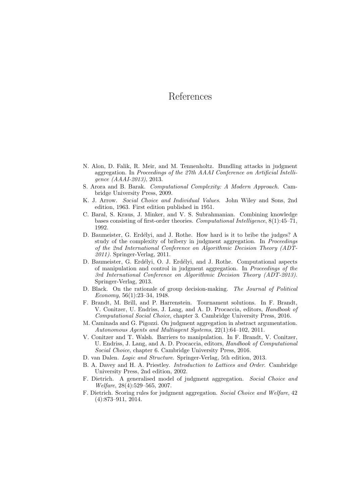- N. Alon, D. Falik, R. Meir, and M. Tennenholtz. Bundling attacks in judgment aggregation. In Proceedings of the 27th AAAI Conference on Artificial Intelligence (AAAI-2013), 2013.
- S. Arora and B. Barak. Computational Complexity: A Modern Approach. Cambridge University Press, 2009.
- K. J. Arrow. Social Choice and Individual Values. John Wiley and Sons, 2nd edition, 1963. First edition published in 1951.
- C. Baral, S. Kraus, J. Minker, and V. S. Subrahmanian. Combining knowledge bases consisting of first-order theories. Computational Intelligence, 8(1):45–71, 1992.
- D. Baumeister, G. Erdélyi, and J. Rothe. How hard is it to bribe the judges? A study of the complexity of bribery in judgment aggregation. In Proceedings of the 2nd International Conference on Algorithmic Decision Theory (ADT-2011). Springer-Verlag, 2011.
- D. Baumeister, G. Erdélyi, O. J. Erdélyi, and J. Rothe. Computational aspects of manipulation and control in judgment aggregation. In Proceedings of the 3rd International Conference on Algorithmic Decision Theory (ADT-2013). Springer-Verlag, 2013.
- D. Black. On the rationale of group decision-making. The Journal of Political Economy, 56(1):23–34, 1948.
- F. Brandt, M. Brill, and P. Harrenstein. Tournament solutions. In F. Brandt, V. Conitzer, U. Endriss, J. Lang, and A. D. Procaccia, editors, Handbook of Computational Social Choice, chapter 3. Cambridge University Press, 2016.
- M. Caminada and G. Pigozzi. On judgment aggregation in abstract argumentation. Autonomous Agents and Multiagent Systems, 22(1):64–102, 2011.
- V. Conitzer and T. Walsh. Barriers to manipulation. In F. Brandt, V. Conitzer, U. Endriss, J. Lang, and A. D. Procaccia, editors, Handbook of Computational Social Choice, chapter 6. Cambridge University Press, 2016.
- D. van Dalen. Logic and Structure. Springer-Verlag, 5th edition, 2013.
- B. A. Davey and H. A. Priestley. Introduction to Lattices and Order. Cambridge University Press, 2nd edition, 2002.
- F. Dietrich. A generalised model of judgment aggregation. Social Choice and Welfare, 28(4):529–565, 2007.
- F. Dietrich. Scoring rules for judgment aggregation. Social Choice and Welfare, 42 (4):873–911, 2014.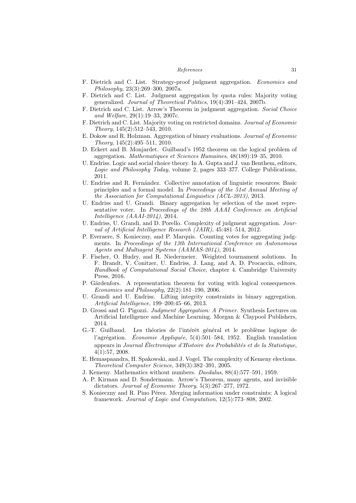- F. Dietrich and C. List. Strategy-proof judgment aggregation. Economics and Philosophy, 23(3):269–300, 2007a.
- F. Dietrich and C. List. Judgment aggregation by quota rules: Majority voting generalized. Journal of Theoretical Politics, 19(4):391–424, 2007b.
- F. Dietrich and C. List. Arrow's Theorem in judgment aggregation. Social Choice and Welfare, 29(1):19–33, 2007c.
- F. Dietrich and C. List. Majority voting on restricted domains. Journal of Economic Theory, 145(2):512–543, 2010.
- E. Dokow and R. Holzman. Aggregation of binary evaluations. Journal of Economic Theory, 145(2):495–511, 2010.
- D. Eckert and B. Monjardet. Guilbaud's 1952 theorem on the logical problem of aggregation. Mathematiques et Sciences Humaines, 48(189):19–35, 2010.
- U. Endriss. Logic and social choice theory. In A. Gupta and J. van Benthem, editors, Logic and Philosophy Today, volume 2, pages 333–377. College Publications, 2011.
- U. Endriss and R. Fernández. Collective annotation of linguistic resources: Basic principles and a formal model. In Proceedings of the 51st Annual Meeting of the Association for Computational Linguistics (ACL-2013), 2013.
- U. Endriss and U. Grandi. Binary aggregation by selection of the most representative voter. In Proceedings of the 28th AAAI Conference on Artificial Intelligence (AAAI-2014), 2014.
- U. Endriss, U. Grandi, and D. Porello. Complexity of judgment aggregation. Journal of Artificial Intelligence Research (JAIR), 45:481–514, 2012.
- P. Everaere, S. Konieczny, and P. Marquis. Counting votes for aggregating judgments. In Proceedings of the 13th International Conference on Autonomous Agents and Multiagent Systems (AAMAS-2014), 2014.
- F. Fischer, O. Hudry, and R. Niedermeier. Weighted tournament solutions. In F. Brandt, V. Conitzer, U. Endriss, J. Lang, and A. D. Procaccia, editors, Handbook of Computational Social Choice, chapter 4. Cambridge University Press, 2016.
- P. Gärdenfors. A representation theorem for voting with logical consequences. Economics and Philosophy, 22(2):181–190, 2006.
- U. Grandi and U. Endriss. Lifting integrity constraints in binary aggregation. Artificial Intelligence, 199–200:45–66, 2013.
- D. Grossi and G. Pigozzi. Judgment Aggregation: A Primer. Synthesis Lectures on Artificial Intelligence and Machine Learning. Morgan & Claypool Publishers, 2014.
- G.-T. Guilbaud. Les théories de l'intérêt général et le problème logique de l'agrégation. *Économie Appliquée*, 5(4):501–584, 1952. English translation appears in Journal Électronique d'Histoire des Probabilités et de la Statistique, 4(1):57, 2008.
- E. Hemaspaandra, H. Spakowski, and J. Vogel. The complexity of Kemeny elections. Theoretical Computer Science, 349(3):382–391, 2005.
- J. Kemeny. Mathematics without numbers. Daedalus, 88(4):577–591, 1959.
- A. P. Kirman and D. Sondermann. Arrow's Theorem, many agents, and invisible dictators. Journal of Economic Theory, 5(3):267–277, 1972.
- S. Konieczny and R. Pino Pérez. Merging information under constraints: A logical framework. Journal of Logic and Computation, 12(5):773–808, 2002.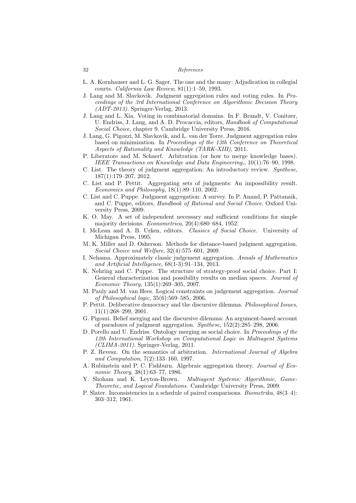- L. A. Kornhauser and L. G. Sager. The one and the many: Adjudication in collegial courts. California Law Review, 81(1):1–59, 1993.
- J. Lang and M. Slavkovik. Judgment aggregation rules and voting rules. In Proceedings of the 3rd International Conference on Algorithmic Decision Theory (ADT-2013). Springer-Verlag, 2013.
- J. Lang and L. Xia. Voting in combinatorial domains. In F. Brandt, V. Conitzer, U. Endriss, J. Lang, and A. D. Procaccia, editors, *Handbook of Computational* Social Choice, chapter 9. Cambridge University Press, 2016.
- J. Lang, G. Pigozzi, M. Slavkovik, and L. van der Torre. Judgment aggregation rules based on minimization. In Proceedings of the 13th Conference on Theoretical Aspects of Rationality and Knowledge (TARK-XIII), 2011.
- P. Liberatore and M. Schaerf. Arbitration (or how to merge knowledge bases). IEEE Transactions on Knowledge and Data Engineering,, 10(1):76–90, 1998.
- C. List. The theory of judgment aggregation: An introductory review. Synthese, 187(1):179–207, 2012.
- C. List and P. Pettit. Aggregating sets of judgments: An impossibility result. Economics and Philosophy, 18(1):89–110, 2002.
- C. List and C. Puppe. Judgment aggregation: A survey. In P. Anand, P. Pattanaik, and C. Puppe, editors, Handbook of Rational and Social Choice. Oxford University Press, 2009.
- K. O. May. A set of independent necessary and sufficient conditions for simple majority decisions. Econometrica, 20(4):680–684, 1952.
- I. McLean and A. B. Urken, editors. Classics of Social Choice. University of Michigan Press, 1995.
- M. K. Miller and D. Osherson. Methods for distance-based judgment aggregation. Social Choice and Welfare, 32(4):575–601, 2009.
- I. Nehama. Approximately classic judgement aggregation. Annals of Mathematics and Artificial Intelligence, 68(1-3):91–134, 2013.
- K. Nehring and C. Puppe. The structure of strategy-proof social choice. Part I: General characterization and possibility results on median spaces. Journal of Economic Theory, 135(1):269–305, 2007.
- M. Pauly and M. van Hees. Logical constraints on judgement aggregation. Journal of Philosophical logic, 35(6):569–585, 2006.
- P. Pettit. Deliberative democracy and the discursive dilemma. Philosophical Issues, 11(1):268–299, 2001.
- G. Pigozzi. Belief merging and the discursive dilemma: An argument-based account of paradoxes of judgment aggregation. Synthese, 152(2):285–298, 2006.
- D. Porello and U. Endriss. Ontology merging as social choice. In Proceedings of the 12th International Workshop on Computational Logic in Multiagent Systems (CLIMA-2011). Springer-Verlag, 2011.
- P. Z. Revesz. On the semantics of arbitration. International Journal of Algebra and Computation, 7(2):133–160, 1997.
- A. Rubinstein and P. C. Fishburn. Algebraic aggregation theory. Journal of Economic Theory, 38(1):63-77, 1986.
- Y. Shoham and K. Leyton-Brown. *Multiagent Systems: Algorithmic, Game-*Theoretic, and Logical Foundations. Cambridge University Press, 2009.
- P. Slater. Inconsistencies in a schedule of paired comparisons. Biometrika, 48(3–4): 303–312, 1961.